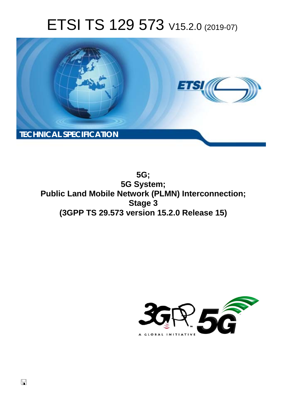# ETSI TS 129 573 V15.2.0 (2019-07)



**5G; 5G System; Public Land Mobile Network (PLMN) Interconnection; Stage 3 (3GPP TS 29.573 version 15.2.0 Release 15)** 

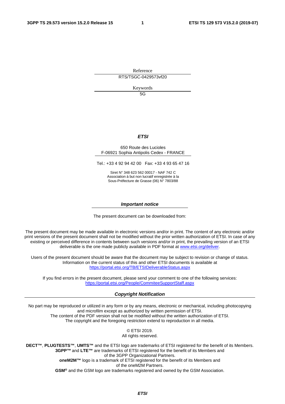Reference

RTS/TSGC-0429573vf20

Keywords

5G

#### *ETSI*

#### 650 Route des Lucioles F-06921 Sophia Antipolis Cedex - FRANCE

Tel.: +33 4 92 94 42 00 Fax: +33 4 93 65 47 16

Siret N° 348 623 562 00017 - NAF 742 C Association à but non lucratif enregistrée à la Sous-Préfecture de Grasse (06) N° 7803/88

#### *Important notice*

The present document can be downloaded from:

The present document may be made available in electronic versions and/or in print. The content of any electronic and/or print versions of the present document shall not be modified without the prior written authorization of ETSI. In case of any existing or perceived difference in contents between such versions and/or in print, the prevailing version of an ETSI deliverable is the one made publicly available in PDF format at [www.etsi.org/deliver](http://www.etsi.org/deliver).

Users of the present document should be aware that the document may be subject to revision or change of status. Information on the current status of this and other ETSI documents is available at <https://portal.etsi.org/TB/ETSIDeliverableStatus.aspx>

If you find errors in the present document, please send your comment to one of the following services: <https://portal.etsi.org/People/CommiteeSupportStaff.aspx>

#### *Copyright Notification*

No part may be reproduced or utilized in any form or by any means, electronic or mechanical, including photocopying and microfilm except as authorized by written permission of ETSI. The content of the PDF version shall not be modified without the written authorization of ETSI. The copyright and the foregoing restriction extend to reproduction in all media.

> © ETSI 2019. All rights reserved.

**DECT™**, **PLUGTESTS™**, **UMTS™** and the ETSI logo are trademarks of ETSI registered for the benefit of its Members. **3GPP™** and **LTE™** are trademarks of ETSI registered for the benefit of its Members and of the 3GPP Organizational Partners. **oneM2M™** logo is a trademark of ETSI registered for the benefit of its Members and of the oneM2M Partners. **GSM®** and the GSM logo are trademarks registered and owned by the GSM Association.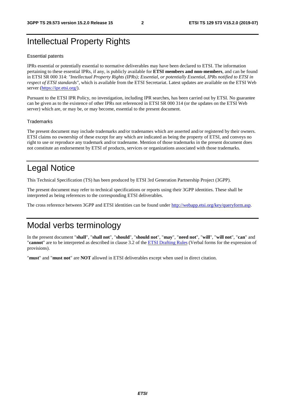# Intellectual Property Rights

#### Essential patents

IPRs essential or potentially essential to normative deliverables may have been declared to ETSI. The information pertaining to these essential IPRs, if any, is publicly available for **ETSI members and non-members**, and can be found in ETSI SR 000 314: *"Intellectual Property Rights (IPRs); Essential, or potentially Essential, IPRs notified to ETSI in respect of ETSI standards"*, which is available from the ETSI Secretariat. Latest updates are available on the ETSI Web server ([https://ipr.etsi.org/\)](https://ipr.etsi.org/).

Pursuant to the ETSI IPR Policy, no investigation, including IPR searches, has been carried out by ETSI. No guarantee can be given as to the existence of other IPRs not referenced in ETSI SR 000 314 (or the updates on the ETSI Web server) which are, or may be, or may become, essential to the present document.

#### **Trademarks**

The present document may include trademarks and/or tradenames which are asserted and/or registered by their owners. ETSI claims no ownership of these except for any which are indicated as being the property of ETSI, and conveys no right to use or reproduce any trademark and/or tradename. Mention of those trademarks in the present document does not constitute an endorsement by ETSI of products, services or organizations associated with those trademarks.

# Legal Notice

This Technical Specification (TS) has been produced by ETSI 3rd Generation Partnership Project (3GPP).

The present document may refer to technical specifications or reports using their 3GPP identities. These shall be interpreted as being references to the corresponding ETSI deliverables.

The cross reference between 3GPP and ETSI identities can be found under<http://webapp.etsi.org/key/queryform.asp>.

# Modal verbs terminology

In the present document "**shall**", "**shall not**", "**should**", "**should not**", "**may**", "**need not**", "**will**", "**will not**", "**can**" and "**cannot**" are to be interpreted as described in clause 3.2 of the [ETSI Drafting Rules](https://portal.etsi.org/Services/editHelp!/Howtostart/ETSIDraftingRules.aspx) (Verbal forms for the expression of provisions).

"**must**" and "**must not**" are **NOT** allowed in ETSI deliverables except when used in direct citation.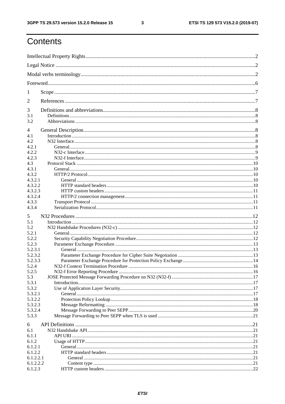$\mathbf{3}$ 

# Contents

| 1              |  |
|----------------|--|
| $\overline{2}$ |  |
| 3              |  |
| 3.1<br>3.2     |  |
| 4              |  |
| 4.1            |  |
| 4.2            |  |
| 4.2.1          |  |
| 4.2.2          |  |
| 4.2.3          |  |
| 4.3            |  |
| 4.3.1          |  |
| 4.3.2          |  |
| 4.3.2.1        |  |
| 4.3.2.2        |  |
| 4.3.2.3        |  |
| 4.3.2.4        |  |
| 4.3.3          |  |
| 4.3.4          |  |
|                |  |
| 5              |  |
| 5.1            |  |
| 5.2            |  |
| 5.2.1          |  |
| 5.2.2          |  |
| 5.2.3          |  |
| 5.2.3.1        |  |
| 5.2.3.2        |  |
|                |  |
| 5.2.3.3        |  |
| 5.2.4          |  |
| 5.2.5          |  |
| 5.3            |  |
| 5.3.1          |  |
| 5.3.2          |  |
| 5.3.2.1        |  |
| 5.3.2.2        |  |
| 5.3.2.3        |  |
| 5.3.2.4        |  |
| 5.3.3          |  |
|                |  |
| 6              |  |
| 6.1            |  |
| 6.1.1          |  |
| 6.1.2          |  |
| 6.1.2.1        |  |
| 6.1.2.2        |  |
| 6.1.2.2.1      |  |
| 6.1.2.2.2      |  |
| 6.1.2.3        |  |
|                |  |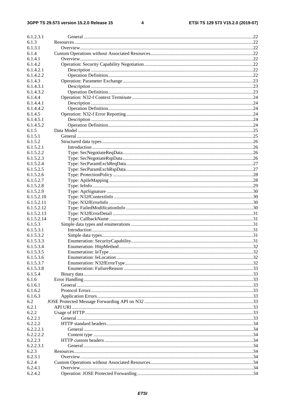#### $\overline{\mathbf{4}}$

| 6.1.2.3.1  |     |
|------------|-----|
| 6.1.3      |     |
| 6.1.3.1    |     |
| 6.1.4      |     |
| 6.1.4.1    |     |
| 6.1.4.2    |     |
| 6.1.4.2.1  |     |
| 6.1.4.2.2  |     |
| 6.1.4.3    |     |
| 6.1.4.3.1  |     |
| 6.1.4.3.2  |     |
| 6.1.4.4    |     |
| 6.1.4.4.1  |     |
| 6.1.4.4.2  |     |
| 6.1.4.5    |     |
| 6.1.4.5.1  |     |
| 6.1.4.5.2  |     |
| 6.1.5      |     |
| 6.1.5.1    |     |
| 6.1.5.2    |     |
| 6.1.5.2.1  |     |
|            |     |
| 6.1.5.2.2  |     |
| 6.1.5.2.3  |     |
| 6.1.5.2.4  |     |
| 6.1.5.2.5  |     |
| 6.1.5.2.6  |     |
| 6.1.5.2.7  |     |
| 6.1.5.2.8  |     |
| 6.1.5.2.9  |     |
| 6.1.5.2.10 |     |
| 6.1.5.2.11 |     |
| 6.1.5.2.12 |     |
| 6.1.5.2.13 |     |
| 6.1.5.2.14 |     |
| 6.1.5.3    |     |
| 6.1.5.3.1  |     |
| 6.1.5.3.2  |     |
| 6.1.5.3.3  |     |
| 6.1.5.3.4  | .32 |
| 6.1.5.3.5  |     |
| 6.1.5.3.6  |     |
| 6.1.5.3.7  |     |
| 6.1.5.3.8  |     |
| 6.1.5.4    |     |
| 6.1.6      |     |
| 6.1.6.1    |     |
| 6.1.6.2    |     |
|            |     |
| 6.1.6.3    |     |
| 6.2        |     |
| 6.2.1      |     |
| 6.2.2      |     |
| 6.2.2.1    |     |
| 6.2.2.2    |     |
| 6.2.2.2.1  |     |
| 6.2.2.2.2  |     |
| 6.2.2.3    |     |
| 6.2.2.3.1  |     |
| 6.2.3      |     |
| 6.2.3.1    |     |
| 6.2.4      |     |
| 6.2.4.1    |     |
| 6.2.4.2    |     |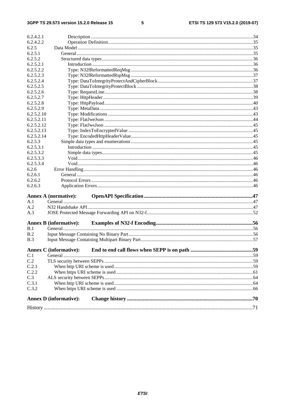#### $5\phantom{a}$

| 6.2.4.2.1  |                               |  |  |  |
|------------|-------------------------------|--|--|--|
| 6.2.4.2.2  |                               |  |  |  |
| 6.2.5      |                               |  |  |  |
| 6.2.5.1    |                               |  |  |  |
| 6.2.5.2    |                               |  |  |  |
| 6.2.5.2.1  |                               |  |  |  |
| 6.2.5.2.2  |                               |  |  |  |
| 6.2.5.2.3  |                               |  |  |  |
| 6.2.5.2.4  |                               |  |  |  |
| 6.2.5.2.5  |                               |  |  |  |
| 6.2.5.2.6  |                               |  |  |  |
| 6.2.5.2.7  |                               |  |  |  |
| 6.2.5.2.8  |                               |  |  |  |
| 6.2.5.2.9  |                               |  |  |  |
| 6.2.5.2.10 |                               |  |  |  |
| 6.2.5.2.11 |                               |  |  |  |
| 6.2.5.2.12 |                               |  |  |  |
| 6.2.5.2.13 |                               |  |  |  |
| 6.2.5.2.14 |                               |  |  |  |
| 6.2.5.3    |                               |  |  |  |
| 6.2.5.3.1  |                               |  |  |  |
| 6.2.5.3.2  |                               |  |  |  |
| 6.2.5.3.3  |                               |  |  |  |
| 6.2.5.3.4  |                               |  |  |  |
| 6.2.6      |                               |  |  |  |
| 6.2.6.1    |                               |  |  |  |
| 6.2.6.2    |                               |  |  |  |
| 6.2.6.3    |                               |  |  |  |
|            | <b>Annex A (normative):</b>   |  |  |  |
| A.1        |                               |  |  |  |
| A.2        |                               |  |  |  |
| A.3        |                               |  |  |  |
|            | <b>Annex B</b> (informative): |  |  |  |
| B.1        |                               |  |  |  |
| B.2        |                               |  |  |  |
| B.3        |                               |  |  |  |
|            | <b>Annex C</b> (informative): |  |  |  |
| C.1        |                               |  |  |  |
| C.2        |                               |  |  |  |
| C.2.1      |                               |  |  |  |
| C.2.2      |                               |  |  |  |
| C.3        |                               |  |  |  |
| C.3.1      |                               |  |  |  |
| C.3.2      |                               |  |  |  |
|            | <b>Annex D</b> (informative): |  |  |  |
|            |                               |  |  |  |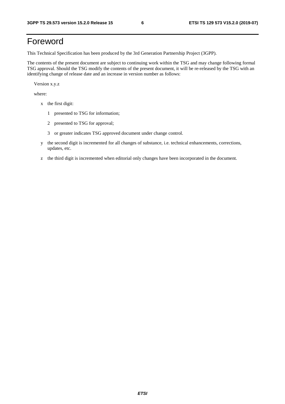# Foreword

This Technical Specification has been produced by the 3rd Generation Partnership Project (3GPP).

The contents of the present document are subject to continuing work within the TSG and may change following formal TSG approval. Should the TSG modify the contents of the present document, it will be re-released by the TSG with an identifying change of release date and an increase in version number as follows:

Version x.y.z

where:

- x the first digit:
	- 1 presented to TSG for information;
	- 2 presented to TSG for approval;
	- 3 or greater indicates TSG approved document under change control.
- y the second digit is incremented for all changes of substance, i.e. technical enhancements, corrections, updates, etc.
- z the third digit is incremented when editorial only changes have been incorporated in the document.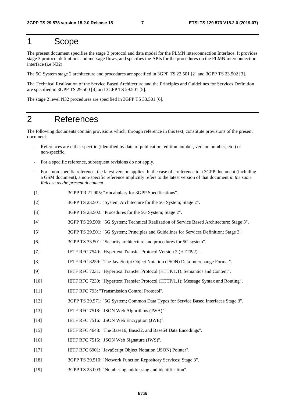# 1 Scope

The present document specifies the stage 3 protocol and data model for the PLMN interconnection Interface. It provides stage 3 protocol definitions and message flows, and specifies the APIs for the procedures on the PLMN interconnection interface (i.e N32).

The 5G System stage 2 architecture and procedures are specified in 3GPP TS 23.501 [2] and 3GPP TS 23.502 [3].

The Technical Realization of the Service Based Architecture and the Principles and Guidelines for Services Definition are specified in 3GPP TS 29.500 [4] and 3GPP TS 29.501 [5].

The stage 2 level N32 procedures are specified in 3GPP TS 33.501 [6].

# 2 References

The following documents contain provisions which, through reference in this text, constitute provisions of the present document.

- References are either specific (identified by date of publication, edition number, version number, etc.) or non-specific.
- For a specific reference, subsequent revisions do not apply.
- For a non-specific reference, the latest version applies. In the case of a reference to a 3GPP document (including a GSM document), a non-specific reference implicitly refers to the latest version of that document *in the same Release as the present document*.
- [1] 3GPP TR 21.905: "Vocabulary for 3GPP Specifications".
- [2] 3GPP TS 23.501: "System Architecture for the 5G System; Stage 2".
- [3] 3GPP TS 23.502: "Procedures for the 5G System; Stage 2".
- [4] 3GPP TS 29.500: "5G System; Technical Realization of Service Based Architecture; Stage 3".
- [5] 3GPP TS 29.501: "5G System; Principles and Guidelines for Services Definition; Stage 3".
- [6] 3GPP TS 33.501: "Security architecture and procedures for 5G system".
- [7] IETF RFC 7540: "Hypertext Transfer Protocol Version 2 (HTTP/2)".
- [8] IETF RFC 8259: "The JavaScript Object Notation (JSON) Data Interchange Format".
- [9] IETF RFC 7231: "Hypertext Transfer Protocol (HTTP/1.1): Semantics and Content".
- [10] IETF RFC 7230: "Hypertext Transfer Protocol (HTTP/1.1): Message Syntax and Routing".
- [11] IETF RFC 793: "Transmission Control Protocol".
- [12] 3GPP TS 29.571: "5G System; Common Data Types for Service Based Interfaces Stage 3".
- [13] IETF RFC 7518: "JSON Web Algorithms (JWA)".
- [14] **IETF RFC 7516: "JSON Web Encryption (JWE)".**
- [15] IETF RFC 4648: "The Base16, Base32, and Base64 Data Encodings".
- [16] **IETF RFC 7515: "JSON Web Signature (JWS)".**
- [17] IETF RFC 6901: "JavaScript Object Notation (JSON) Pointer".
- [18] 3GPP TS 29.510: "Network Function Repository Services; Stage 3".
- [19] 3GPP TS 23.003: "Numbering, addressing and identification".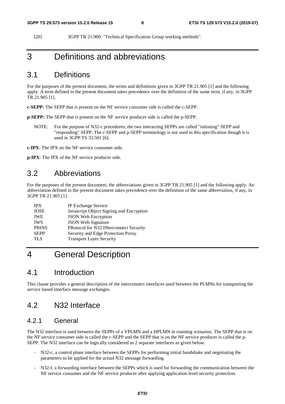[20] 3GPP TR 21.900: "Technical Specification Group working methods".

# 3 Definitions and abbreviations

# 3.1 Definitions

For the purposes of the present document, the terms and definitions given in 3GPP TR 21.905 [1] and the following apply. A term defined in the present document takes precedence over the definition of the same term, if any, in 3GPP TR 21.905 [1].

**c-SEPP:** The SEPP that is present on the NF service consumer side is called the c-SEPP.

**p-SEPP:** The SEPP that is present on the NF service producer side is called the p-SEPP.

NOTE: For the purpose of N32-c procedures, the two interacting SEPPs are called "initiating" SEPP and "responding" SEPP. The c-SEPP and p-SEPP terminology is not used in this specification though it is used in 3GPP TS 33.501 [6].

**c-IPX**: The IPX on the NF service consumer side.

**p-IPX**: The IPX of the NF service producer side.

# 3.2 Abbreviations

For the purposes of the present document, the abbreviations given in 3GPP TR 21.905 [1] and the following apply. An abbreviation defined in the present document takes precedence over the definition of the same abbreviation, if any, in 3GPP TR 21.905 [1].

| <b>IPX</b>   | IP Exchange Service                      |
|--------------|------------------------------------------|
| <b>JOSE</b>  | Javascript Object Signing and Encryption |
| <b>JWE</b>   | <b>JSON Web Encryption</b>               |
| <b>JWS</b>   | <b>JSON Web Signature</b>                |
| <b>PRINS</b> | PRotocol for N32 INterconnect Security   |
| <b>SEPP</b>  | Security and Edge Protection Proxy       |
| <b>TLS</b>   | <b>Transport Layer Security</b>          |
|              |                                          |

# 4 General Description

# 4.1 Introduction

This clause provides a general description of the interconnect interfaces used between the PLMNs for transporting the service based interface message exchanges.

# 4.2 N32 Interface

# 4.2.1 General

The N32 interface is used between the SEPPs of a VPLMN and a HPLMN in roaming scenarios. The SEPP that is on the NF service consumer side is called the c-SEPP and the SEPP that is on the NF service producer is called the p-SEPP. The N32 interface can be logically considered as 2 separate interfaces as given below.

- N32-c, a control plane interface between the SEPPs for performing initial handshake and negotiating the parameters to be applied for the actual N32 message forwarding.
- N32-f, a forwarding interface between the SEPPs which is used for forwarding the communication between the NF service consumer and the NF service producer after applying application level security protection.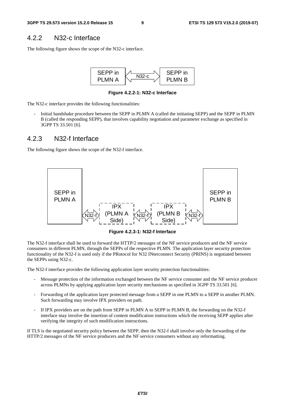# 4.2.2 N32-c Interface

The following figure shows the scope of the N32-c interface.



**Figure 4.2.2-1: N32-c Interface** 

The N32-c interface provides the following functionalities:

- Initial handshake procedure between the SEPP in PLMN A (called the initiating SEPP) and the SEPP in PLMN B (called the responding SEPP), that involves capability negotiation and parameter exchange as specified in 3GPP TS 33.501 [6].

### 4.2.3 N32-f Interface

The following figure shows the scope of the N32-f interface.



**Figure 4.2.3-1: N32-f Interface** 

The N32-f interface shall be used to forward the HTTP/2 messages of the NF service producers and the NF service consumers in different PLMN, through the SEPPs of the respective PLMN. The application layer security protection functionality of the N32-f is used only if the PRotocol for N32 INterconnect Security (PRINS) is negotiated between the SEPPs using N32-c.

The N32-f interface provides the following application layer security protection functionalities:

- Message protection of the information exchanged between the NF service consumer and the NF service producer across PLMNs by applying application layer security mechanisms as specified in 3GPP TS 33.501 [6].
- Forwarding of the application layer protected message from a SEPP in one PLMN to a SEPP in another PLMN. Such forwarding may involve IPX providers on path.
- If IPX providers are on the path from SEPP in PLMN A to SEPP in PLMN B, the forwarding on the N32-f interface may involve the insertion of content modification instructions which the receiving SEPP applies after verifying the integrity of such modification instructions.

If TLS is the negotiated security policy between the SEPP, then the N32-f shall involve only the forwarding of the HTTP/2 messages of the NF service producers and the NF service consumers without any reformatting.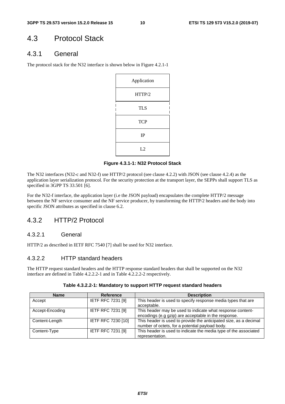# 4.3 Protocol Stack

# 4.3.1 General

The protocol stack for the N32 interface is shown below in Figure 4.2.1-1

| Application |
|-------------|
| HTTP/2      |
| <b>TLS</b>  |
| <b>TCP</b>  |
| IP          |
| L2          |

**Figure 4.3.1-1: N32 Protocol Stack** 

The N32 interfaces (N32-c and N32-f) use HTTP/2 protocol (see clause 4.2.2) with JSON (see clause 4.2.4) as the application layer serialization protocol. For the security protection at the transport layer, the SEPPs shall support TLS as specified in 3GPP TS 33.501 [6].

For the N32-f interface, the application layer (i.e the JSON payload) encapsulates the complete HTTP/2 message between the NF service consumer and the NF service producer, by transforming the HTTP/2 headers and the body into specific JSON attributes as specified in clause 6.2.

# 4.3.2 HTTP/2 Protocol

#### 4.3.2.1 General

HTTP/2 as described in IETF RFC 7540 [7] shall be used for N32 interface.

#### 4.3.2.2 HTTP standard headers

The HTTP request standard headers and the HTTP response standard headers that shall be supported on the N32 interface are defined in Table 4.2.2.2-1 and in Table 4.2.2.2-2 respectively.

| <b>Name</b>     | <b>Reference</b>          | <b>Description</b>                                                                                                   |
|-----------------|---------------------------|----------------------------------------------------------------------------------------------------------------------|
| Accept          | IETF RFC 7231 [9]         | This header is used to specify response media types that are<br>acceptable.                                          |
| Accept-Encoding | IETF RFC 7231 [9]         | This header may be used to indicate what response content-<br>encodings (e.g gzip) are acceptable in the response.   |
| Content-Length  | <b>IETF RFC 7230 [10]</b> | This header is used to provide the anticipated size, as a decimal<br>number of octets, for a potential payload body. |
| Content-Type    | <b>IETF RFC 7231 [9]</b>  | This header is used to indicate the media type of the associated<br>representation.                                  |

#### **Table 4.3.2.2-1: Mandatory to support HTTP request standard headers**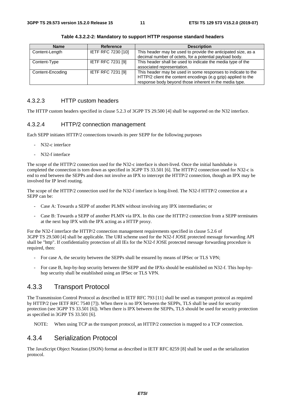| <b>Name</b>      | <b>Reference</b>          | <b>Description</b>                                                                                                                                                                      |
|------------------|---------------------------|-----------------------------------------------------------------------------------------------------------------------------------------------------------------------------------------|
| Content-Length   | <b>IETF RFC 7230 [10]</b> | This header may be used to provide the anticipated size, as a<br>decimal number of octets, for a potential payload body.                                                                |
| Content-Type     | <b>IETF RFC 7231 [9]</b>  | This header shall be used to indicate the media type of the<br>associated representation.                                                                                               |
| Content-Encoding | <b>IETF RFC 7231 [9]</b>  | This header may be used in some responses to indicate to the<br>HTTP/2 client the content encodings (e.g gzip) applied to the<br>response body beyond those inherent in the media type. |

**Table 4.3.2.2-2: Mandatory to support HTTP response standard headers** 

#### 4.3.2.3 HTTP custom headers

The HTTP custom headers specified in clause 5.2.3 of 3GPP TS 29.500 [4] shall be supported on the N32 interface.

#### 4.3.2.4 HTTP/2 connection management

Each SEPP initiates HTTP/2 connections towards its peer SEPP for the following purposes

- N32-c interface
- N32-f interface

The scope of the HTTP/2 connection used for the N32-c interface is short-lived. Once the initial handshake is completed the connection is torn down as specified in 3GPP TS 33.501 [6]. The HTTP/2 connection used for N32-c is end to end between the SEPPs and does not involve an IPX to intercept the HTTP/2 connection, though an IPX may be involved for IP level routing.

The scope of the HTTP/2 connection used for the N32-f interface is long-lived. The N32-f HTTP/2 connection at a SEPP can be:

- Case A: Towards a SEPP of another PLMN without involving any IPX intermediaries; or
- Case B: Towards a SEPP of another PLMN via IPX. In this case the HTTP/2 connection from a SEPP terminates at the next hop IPX with the IPX acting as a HTTP proxy.

For the N32-f interface the HTTP/2 connection management requirements specified in clause 5.2.6 of 3GPP TS 29.500 [4] shall be applicable. The URI scheme used for the N32-f JOSE protected message forwarding API shall be "http". If confidentiality protection of all IEs for the N32-f JOSE protected message forwarding procedure is required, then:

- For case A, the security between the SEPPs shall be ensured by means of IPSec or TLS VPN;
- For case B, hop-by-hop security between the SEPP and the IPXs should be established on N32-f. This hop-byhop security shall be established using an IPSec or TLS VPN.

# 4.3.3 Transport Protocol

The Transmission Control Protocol as described in IETF RFC 793 [11] shall be used as transport protocol as required by HTTP/2 (see IETF RFC 7540 [7]). When there is no IPX between the SEPPs, TLS shall be used for security protection (see 3GPP TS 33.501 [6]). When there is IPX between the SEPPs, TLS should be used for security protection as specified in 3GPP TS 33.501 [6].

NOTE: When using TCP as the transport protocol, an HTTP/2 connection is mapped to a TCP connection.

# 4.3.4 Serialization Protocol

The JavaScript Object Notation (JSON) format as described in IETF RFC 8259 [8] shall be used as the serialization protocol.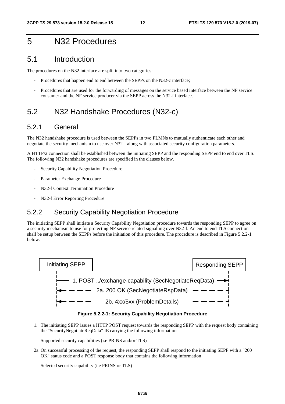# 5 N32 Procedures

# 5.1 Introduction

The procedures on the N32 interface are split into two categories:

- Procedures that happen end to end between the SEPPs on the N32-c interface;
- Procedures that are used for the forwarding of messages on the service based interface between the NF service consumer and the NF service producer via the SEPP across the N32-f interface.

# 5.2 N32 Handshake Procedures (N32-c)

### 5.2.1 General

The N32 handshake procedure is used between the SEPPs in two PLMNs to mutually authenticate each other and negotiate the security mechanism to use over N32-f along with associated security configuration parameters.

A HTTP/2 connection shall be established between the initiating SEPP and the responding SEPP end to end over TLS. The following N32 handshake procedures are specified in the clauses below.

- Security Capability Negotiation Procedure
- Parameter Exchange Procedure
- N32-f Context Termination Procedure
- N32-f Error Reporting Procedure

# 5.2.2 Security Capability Negotiation Procedure

The initiating SEPP shall initiate a Security Capability Negotiation procedure towards the responding SEPP to agree on a security mechanism to use for protecting NF service related signalling over N32-f. An end to end TLS connection shall be setup between the SEPPs before the initiation of this procedure. The procedure is described in Figure 5.2.2-1 below.



**Figure 5.2.2-1: Security Capability Negotiation Procedure** 

- 1. The initiating SEPP issues a HTTP POST request towards the responding SEPP with the request body containing the "SecurityNegotiateReqData" IE carrying the following information
- Supported security capabilities (i.e PRINS and/or TLS)
- 2a. On successful processing of the request, the responding SEPP shall respond to the initiating SEPP with a "200 OK" status code and a POST response body that contains the following information
- Selected security capability (i.e PRINS or TLS)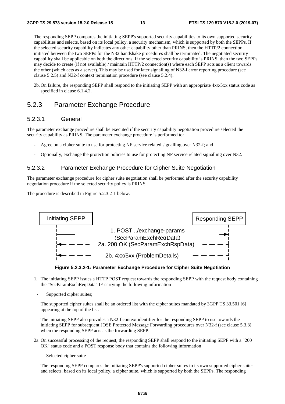The responding SEPP compares the initiating SEPP's supported security capabilities to its own supported security capabilities and selects, based on its local policy, a security mechanism, which is supported by both the SEPPs. If the selected security capability indicates any other capability other than PRINS, then the HTTP/2 connection initiated between the two SEPPs for the N32 handshake procedures shall be terminated. The negotiated security capability shall be applicable on both the directions. If the selected security capability is PRINS, then the two SEPPs may decide to create (if not available) / maintain HTTP/2 connection(s) where each SEPP acts as a client towards the other (which acts as a server). This may be used for later signalling of N32-f error reporting procedure (see clause 5.2.5) and N32-f context termination procedure (see clause 5.2.4).

2b. On failure, the responding SEPP shall respond to the initiating SEPP with an appropriate 4xx/5xx status code as specified in clause 6.1.4.2.

# 5.2.3 Parameter Exchange Procedure

#### 5.2.3.1 General

The parameter exchange procedure shall be executed if the security capability negotiation procedure selected the security capability as PRINS. The parameter exchange procedure is performed to:

- Agree on a cipher suite to use for protecting NF service related signalling over N32-f; and
- Optionally, exchange the protection policies to use for protecting NF service related signalling over N32.

#### 5.2.3.2 Parameter Exchange Procedure for Cipher Suite Negotiation

The parameter exchange procedure for cipher suite negotiation shall be performed after the security capability negotiation procedure if the selected security policy is PRINS.

The procedure is described in Figure 5.2.3.2-1 below.





- 1. The initiating SEPP issues a HTTP POST request towards the responding SEPP with the request body containing the "SecParamExchReqData" IE carrying the following information
	- Supported cipher suites;

 The supported cipher suites shall be an ordered list with the cipher suites mandated by 3GPP TS 33.501 [6] appearing at the top of the list.

 The initiating SEPP also provides a N32-f context identifier for the responding SEPP to use towards the initiating SEPP for subsequent JOSE Protected Message Forwarding procedures over N32-f (see clause 5.3.3) when the responding SEPP acts as the forwarding SEPP.

- 2a. On successful processing of the request, the responding SEPP shall respond to the initiating SEPP with a "200 OK" status code and a POST response body that contains the following information
	- Selected cipher suite

 The responding SEPP compares the initiating SEPP's supported cipher suites to its own supported cipher suites and selects, based on its local policy, a cipher suite, which is supported by both the SEPPs. The responding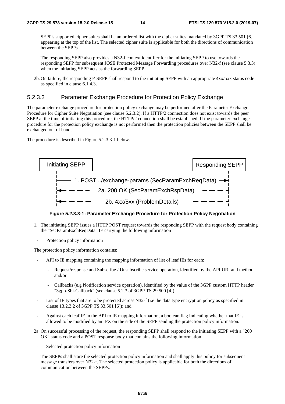SEPP's supported cipher suites shall be an ordered list with the cipher suites mandated by 3GPP TS 33.501 [6] appearing at the top of the list. The selected cipher suite is applicable for both the directions of communication between the SEPPs.

 The responding SEPP also provides a N32-f context identifier for the initiating SEPP to use towards the responding SEPP for subsequent JOSE Protected Message Forwarding procedures over N32-f (see clause 5.3.3) when the initiating SEPP acts as the forwarding SEPP.

2b. On failure, the responding P-SEPP shall respond to the initiating SEPP with an appropriate 4xx/5xx status code as specified in clause 6.1.4.3.

#### 5.2.3.3 Parameter Exchange Procedure for Protection Policy Exchange

The parameter exchange procedure for protection policy exchange may be performed after the Parameter Exchange Procedure for Cipher Suite Negotiation (see clause 5.2.3.2). If a HTTP/2 connection does not exist towards the peer SEPP at the time of initiating this procedure, the HTTP/2 connection shall be established. If the parameter exchange procedure for the protection policy exchange is not performed then the protection policies between the SEPP shall be exchanged out of bands.

The procedure is described in Figure 5.2.3.3-1 below.



#### **Figure 5.2.3.3-1: Parameter Exchange Procedure for Protection Policy Negotiation**

- 1. The initiating SEPP issues a HTTP POST request towards the responding SEPP with the request body containing the "SecParamExchReqData" IE carrying the following information
- Protection policy information

The protection policy information contains:

- API to IE mapping containing the mapping information of list of leaf IEs for each:
	- Request/response and Subscribe / Unsubscribe service operation, identified by the API URI and method; and/or
	- Callbacks (e.g Notification service operation), identified by the value of the 3GPP custom HTTP header "3gpp-Sbi-Callback" (see clause 5.2.3 of 3GPP TS 29.500 [4]).
- List of IE types that are to be protected across N32-f (i.e the data type encryption policy as specified in clause 13.2.3.2 of 3GPP TS 33.501 [6]); and
- Against each leaf IE in the API to IE mapping information, a boolean flag indicating whether that IE is allowed to be modified by an IPX on the side of the SEPP sending the protection policy information.

2a. On successful processing of the request, the responding SEPP shall respond to the initiating SEPP with a "200 OK" status code and a POST response body that contains the following information

Selected protection policy information

The SEPPs shall store the selected protection policy information and shall apply this policy for subsequent message transfers over N32-f. The selected protection policy is applicable for both the directions of communication between the SEPPs.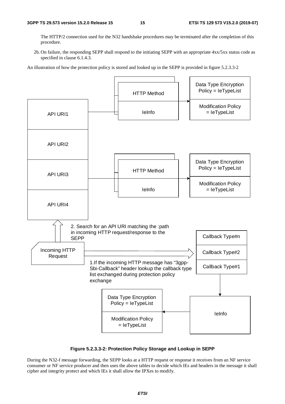The HTTP/2 connection used for the N32 handshake procedures may be terminated after the completion of this procedure.

2b. On failure, the responding SEPP shall respond to the initiating SEPP with an appropriate 4xx/5xx status code as specified in clause 6.1.4.3.

An illustration of how the protection policy is stored and looked up in the SEPP is provided in figure 5.2.3.3-2





During the N32-f message forwarding, the SEPP looks at a HTTP request or response it receives from an NF service consumer or NF service producer and then uses the above tables to decide which IEs and headers in the message it shall cipher and integrity protect and which IEs it shall allow the IPXes to modify.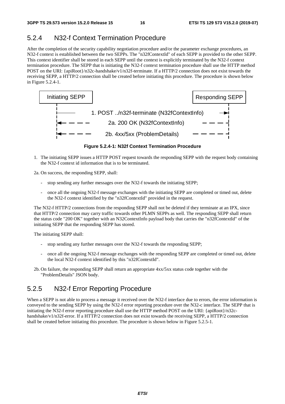# 5.2.4 N32-f Context Termination Procedure

After the completion of the security capability negotiation procedure and/or the parameter exchange procedures, an N32-f context is established between the two SEPPs. The "n32fContextId" of each SEPP is provided to the other SEPP. This context identifier shall be stored in each SEPP until the context is explicitly terminated by the N32-f context termination procedure. The SEPP that is initiating the N32-f context termination procedure shall use the HTTP method POST on the URI: {apiRoot}/n32c-handshake/v1/n32f-terminate. If a HTTP/2 connection does not exist towards the receiving SEPP, a HTTP/2 connection shall be created before initiating this procedure. The procedure is shown below in Figure 5.2.4-1.



**Figure 5.2.4-1: N32f Context Termination Procedure** 

1. The initiating SEPP issues a HTTP POST request towards the responding SEPP with the request body containing the N32-f context id information that is to be terminated.

2a. On success, the responding SEPP, shall:

- stop sending any further messages over the N32-f towards the initiating SEPP;
- once all the ongoing N32-f message exchanges with the initiating SEPP are completed or timed out, delete the N32-f context identified by the "n32fContextId" provided in the request.

The N32-f HTTP/2 connections from the responding SEPP shall not be deleted if they terminate at an IPX, since that HTTP/2 connection may carry traffic towards other PLMN SEPPs as well. The responding SEPP shall return the status code "200 OK" together with an N32ContextInfo payload body that carries the "n32fContextId" of the initiating SEPP that the responding SEPP has stored.

The initiating SEPP shall:

- stop sending any further messages over the N32-f towards the responding SEPP;
- once all the ongoing N32-f message exchanges with the responding SEPP are completed or timed out, delete the local N32-f context identified by this "n32fContextId".
- 2b. On failure, the responding SEPP shall return an appropriate 4xx/5xx status code together with the "ProblemDetails" JSON body.

# 5.2.5 N32-f Error Reporting Procedure

When a SEPP is not able to process a message it received over the N32-f interface due to errors, the error information is conveyed to the sending SEPP by using the N32-f error reporting procedure over the N32-c interface. The SEPP that is initiating the N32-f error reporting procedure shall use the HTTP method POST on the URI: {apiRoot}/n32chandshake/v1/n32f-error. If a HTTP/2 connection does not exist towards the receiving SEPP, a HTTP/2 connection shall be created before initiating this procedure. The procedure is shown below in Figure 5.2.5-1.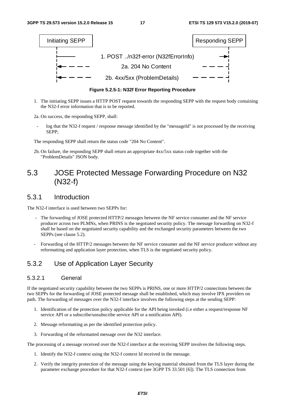

**Figure 5.2.5-1: N32f Error Reporting Procedure** 

- 1. The initiating SEPP issues a HTTP POST request towards the responding SEPP with the request body containing the N32-f error information that is to be reported.
- 2a. On success, the responding SEPP, shall:
- log that the N32-f request / response message identified by the "messageId" is not processed by the receiving SEPP;

The responding SEPP shall return the status code "204 No Content".

2b. On failure, the responding SEPP shall return an appropriate 4xx/5xx status code together with the "ProblemDetails" JSON body.

# 5.3 JOSE Protected Message Forwarding Procedure on N32 (N32-f)

# 5.3.1 Introduction

The N32-f interface is used between two SEPPs for:

- The forwarding of JOSE protected HTTP/2 messages between the NF service consumer and the NF service producer across two PLMNs, when PRINS is the negotiated security policy. The message forwarding on N32-f shall be based on the negotiated security capability and the exchanged security parameters between the two SEPPs (see clause 5.2).
- Forwarding of the HTTP/2 messages between the NF service consumer and the NF service producer without any reformatting and application layer protection, when TLS is the negotiated security policy.

# 5.3.2 Use of Application Layer Security

#### 5.3.2.1 General

If the negotiated security capability between the two SEPPs is PRINS, one or more HTTP/2 connections between the two SEPPs for the forwarding of JOSE protected message shall be established, which may involve IPX providers on path. The forwarding of messages over the N32-f interface involves the following steps at the sending SEPP:

- 1. Identification of the protection policy applicable for the API being invoked (i.e either a request/response NF service API or a subscribe/unsubscribe service API or a notification API).
- 2. Message reformatting as per the identified protection policy.
- 3. Forwarding of the reformatted message over the N32 interface.

The processing of a message received over the N32-f interface at the receiving SEPP involves the following steps.

- 1. Identify the N32-f context using the N32-f context Id received in the message.
- 2. Verify the integrity protection of the message using the keying material obtained from the TLS layer during the parameter exchange procedure for that N32-f context (see 3GPP TS 33.501 [6]). The TLS connection from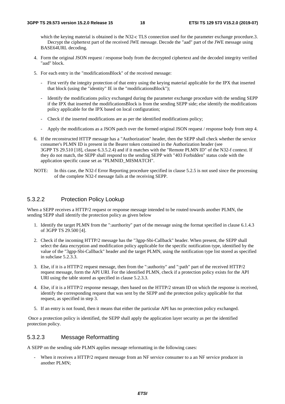which the keying material is obtained is the N32-c TLS connection used for the parameter exchange procedure.3. Decrypt the ciphertext part of the received JWE message. Decode the "aad" part of the JWE message using BASE64URL decoding.

- 4. Form the original JSON request / response body from the decrypted ciphertext and the decoded integrity verified "aad" block.
- 5. For each entry in the "modificationsBlock" of the received message:
	- First verify the integity protection of that entry using the keying material applicable for the IPX that inserted that block (using the "identity" IE in the "modificationsBlock");
	- Identify the modifications policy exchanged during the parameter exchange procedure with the sending SEPP if the IPX that inserted the modificationsBlock is from the sending SEPP side; else identify the modifications policy applicable for the IPX based on local configuration;
	- Check if the inserted modifications are as per the identified modifications policy;
	- Apply the modifications as a JSON patch over the formed original JSON request / response body from step 4.
- 6. If the reconstructed HTTP message has a "Authorization" header, then the SEPP shall check whether the service consumer's PLMN ID is present in the Bearer token contained in the Authorization header (see 3GPP TS 29.510 [18], clause 6.3.5.2.4) and if it matches with the "Remote PLMN ID" of the N32-f context. If they do not match, the SEPP shall respond to the sending SEPP with "403 Forbidden" status code with the application specific cause set as "PLMNID\_MISMATCH".
- NOTE: In this case, the N32-f Error Reporting procedure specified in clause 5.2.5 is not used since the processing of the complete N32-f message fails at the receiving SEPP.

#### 5.3.2.2 Protection Policy Lookup

When a SEPP receives a HTTP/2 request or response message intended to be routed towards another PLMN, the sending SEPP shall identify the protection policy as given below

- 1. Identify the target PLMN from the ":aurthority" part of the message using the format specified in clause 6.1.4.3 of 3GPP TS 29.500 [4].
- 2. Check if the incoming HTTP/2 message has the "3gpp-Sbi-Callback" header. When present, the SEPP shall select the data encryption and modification policy applicable for the specific notification type, identified by the value of the "3gpp-Sbi-Callback" header and the target PLMN, using the notification type list stored as specified in subclase 5.2.3.3.
- 3. Else, if it is a HTTP/2 request message, then from the ":authority" and ":path" part of the received HTTP/2 request message, form the API URI. For the identified PLMN, check if a protection policy exists for the API URI using the table stored as specified in clause 5.2.3.3.
- 4. Else, if it is a HTTP/2 response message, then based on the HTTP/2 stream ID on which the response is received, identify the corresponding request that was sent by the SEPP and the protection policy applicable for that request, as specified in step 3.
- 5. If an entry is not found, then it means that either the particular API has no protection policy exchanged.

 Once a protection policy is identified, the SEPP shall apply the application layer security as per the identified protection policy.

#### 5.3.2.3 Message Reformatting

A SEPP on the sending side PLMN applies message reformatting in the following cases:

When it receives a HTTP/2 request message from an NF service consumer to a an NF service producer in another PLMN;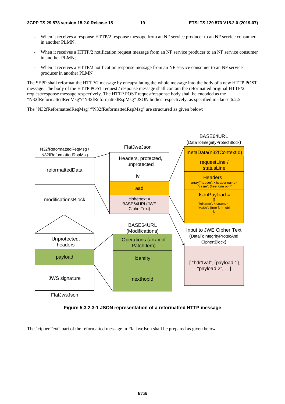- When it receives a response HTTP/2 response message from an NF service producer to an NF service consumer in another PLMN.
- When it receives a HTTP/2 notification request message from an NF service producer to an NF service consumer in another PLMN;
- When it receives a HTTP/2 notification response message from an NF service consumer to an NF service producer in another PLMN

The SEPP shall reformat the HTTP/2 message by encapsulating the whole message into the body of a new HTTP POST message. The body of the HTTP POST request / response message shall contain the reformatted original HTTP/2 request/response message respectively. The HTTP POST request/response body shall be encoded as the "N32fReformattedReqMsg"/"N32fReformattedRspMsg" JSON bodies respectively, as specified in clause 6.2.5.

The "N32fReformattedReqMsg"/"N32fReformattedRspMsg" are structured as given below:



**Figure 5.3.2.3-1 JSON representation of a reformatted HTTP message** 

The "cipherText" part of the reformatted message in FlatJweJson shall be prepared as given below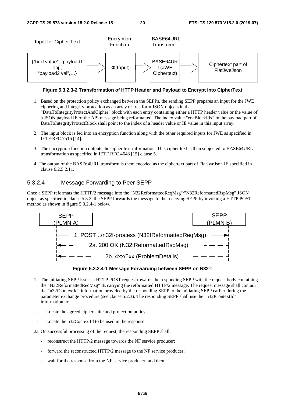

**Figure 5.3.2.3-2 Transformation of HTTP Header and Payload to Encrypt into CipherText** 

- 1. Based on the protection policy exchanged between the SEPPs, the sending SEPP prepares an input for the JWE ciphering and integrity protection as an array of free form JSON objects in the "DataToIntegrityProtectAndCipher" block with each entry containing either a HTTP header value or the value of a JSON payload IE of the API message being reformatted. The index value "encBlockIdx" in the payload part of DataToIntegrityProtectBlock shall point to the index of a header value or IE value in this input array.
- 2. The input block is fed into an encryption function along with the other required inputs for JWE as specified in IETF RFC 7516 [14].
- 3. The encryption function outputs the cipher text information. This cipher text is then subjected to BASE64URL transformation as specified in IETF RFC 4648 [15] clause 5.
- 4. The output of the BASE64URL transform is them encoded as the ciphertext part of FlatJweJson IE specified in clause 6.2.5.2.11.

#### 5.3.2.4 Message Forwarding to Peer SEPP

Once a SEPP reformats the HTTP/2 message into the "N32ReformattedReqMsg"/"N32ReformattedRspMsg" JSON object as specified in clause 5.3.2, the SEPP forwards the message to the receiving SEPP by invoking a HTTP POST method as shown in figure 5.3.2.4-1 below.



**Figure 5.3.2.4-1 Message Forwarding between SEPP on N32-f** 

- 1. The initiating SEPP issues a HTTP POST request towards the responding SEPP with the request body containing the "N32ReformattedReqMsg" IE carrying the reformatted HTTP/2 message. The request message shall contain the "n32fContextId" information provided by the responding SEPP to the initiating SEPP earlier during the parameter exchange procedure (see clause 5.2.3). The responding SEPP shall use the "n32fContextId" information to:
- Locate the agreed cipher suite and protection policy;
- Locate the n32ContextId to be used in the response.

2a. On successful processing of the request, the responding SEPP shall:

- reconstruct the HTTP/2 message towards the NF service producer;
- forward the reconstructed HTTP/2 message to the NF service producer;
- wait for the response from the NF service producer; and then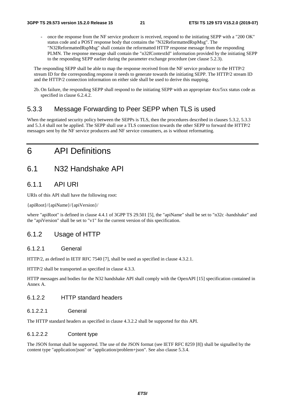once the response from the NF service producer is received, respond to the initiating SEPP with a "200 OK" status code and a POST response body that contains the "N32ReformattedRspMsg". The "N32ReformattedRspMsg" shall contain the reformatted HTTP response message from the responding PLMN. The response message shall contain the "n32fContextId" information provided by the initiating SEPP to the responding SEPP earlier during the parameter exchange procedure (see clause 5.2.3).

The responding SEPP shall be able to map the response received from the NF service producer to the HTTP/2 stream ID for the corresponding response it needs to generate towards the initiating SEPP. The HTTP/2 stream ID and the HTTP/2 connection information on either side shall be used to derive this mapping.

2b. On failure, the responding SEPP shall respond to the initiating SEPP with an appropriate 4xx/5xx status code as specified in clause 6.2.4.2.

# 5.3.3 Message Forwarding to Peer SEPP when TLS is used

When the negotiated security policy between the SEPPs is TLS, then the procedures described in clauses 5.3.2, 5.3.3 and 5.3.4 shall not be applied. The SEPP shall use a TLS connection towards the other SEPP to forward the HTTP/2 messages sent by the NF service producers and NF service consumers, as is without reformatting.

# 6 API Definitions

# 6.1 N32 Handshake API

### 6.1.1 API URI

URIs of this API shall have the following root:

{apiRoot}/{apiName}/{apiVersion}/

where "apiRoot" is defined in clause 4.4.1 of 3GPP TS 29.501 [5], the "apiName" shall be set to "n32c -handshake" and the "apiVersion" shall be set to "v1" for the current version of this specification.

# 6.1.2 Usage of HTTP

#### 6.1.2.1 General

HTTP/2, as defined in IETF RFC 7540 [7], shall be used as specified in clause 4.3.2.1.

HTTP/2 shall be transported as specified in clause 4.3.3.

HTTP messages and bodies for the N32 handshake API shall comply with the OpenAPI [15] specification contained in Annex A.

#### 6.1.2.2 HTTP standard headers

#### 6.1.2.2.1 General

The HTTP standard headers as specified in clause 4.3.2.2 shall be supported for this API.

#### 6.1.2.2.2 Content type

The JSON format shall be supported. The use of the JSON format (see IETF RFC 8259 [8]) shall be signalled by the content type "application/json" or "application/problem+json". See also clause 5.3.4.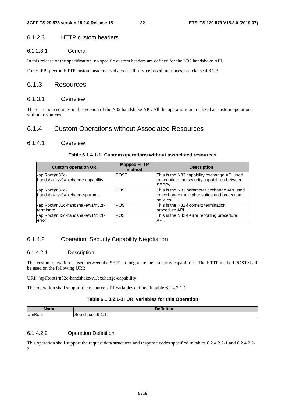#### 6.1.2.3 HTTP custom headers

#### 6.1.2.3.1 General

In this release of the specification, no specific custom headers are defined for the N32 handshake API.

For 3GPP specific HTTP custom headers used across all service based interfaces, see clause 4.3.2.3.

### 6.1.3 Resources

#### 6.1.3.1 Overview

There are no resources in this version of the N32 handshake API. All the operations are realized as custom operations without resources.

# 6.1.4 Custom Operations without Associated Resources

#### 6.1.4.1 Overview

#### **Table 6.1.4.1-1: Custom operations without associated resources**

| <b>Custom operation URI</b>                         | <b>Mapped HTTP</b><br>method | <b>Description</b>                                                                                                    |
|-----------------------------------------------------|------------------------------|-----------------------------------------------------------------------------------------------------------------------|
| {apiRoot}/n32c-<br>handshake/v1/exchange-capability | <b>POST</b>                  | This is the N32 capability exchange API used<br>to negotiate the security capabilities between<br>SEPP <sub>s</sub> . |
| {apiRoot}/n32c-<br>handshake/v1/exchange-params     | <b>POST</b>                  | This is the N32 parameter exchange API used<br>to exchange the cipher suites and protection<br>policies.              |
| {apiRoot}/n32c-handshake/v1/n32f-<br>terminate      | <b>POST</b>                  | This is the N32-f context termination<br>Iprocedure API.                                                              |
| {apiRoot}/n32c-handshake/v1/n32f-<br>lerror         | IPOST                        | This is the N32-f error reporting procedure<br>IAPI.                                                                  |

# 6.1.4.2 Operation: Security Capability Negotiation

#### 6.1.4.2.1 Description

This custom operation is used between the SEPPs to negotiate their security capabilities. The HTTP method POST shall be used on the following URI:

URI: {apiRoot}/n32c-handshake/v1/exchange-capability

This operation shall support the resource URI variables defined in table 6.1.4.2.1-1.

#### **Table 6.1.3.2.1-1: URI variables for this Operation**

| ∴Mam<br>Nallit               | $\cdots$<br>- -<br>ווטו                     |
|------------------------------|---------------------------------------------|
| $\cdot$ $-$<br>lapih<br>.JOT | . .<br>see<br>clause <sup>®</sup><br>0.1.1. |

### 6.1.4.2.2 Operation Definition

This operation shall support the request data structures and response codes specified in tables 6.2.4.2.2-1 and 6.2.4.2.2- 2.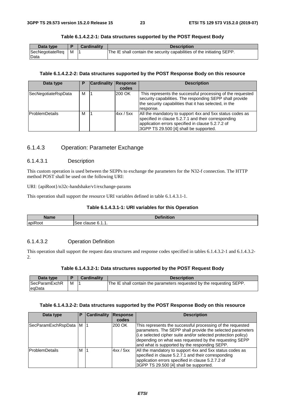| Data type       |   | <b>Cardinality</b> | <b>Description</b>                                                     |
|-----------------|---|--------------------|------------------------------------------------------------------------|
| SecNegotiateReg | M |                    | The IE shall contain the security capabilities of the initiating SEPP. |
| Data            |   |                    |                                                                        |

#### **Table 6.1.4.2.2-1: Data structures supported by the POST Request Body**

#### **Table 6.1.4.2.2-2: Data structures supported by the POST Response Body on this resource**

| Data type              | Р | <b>Cardinality</b> | Response<br>codes | <b>Description</b>                                                                                                                                                                                             |
|------------------------|---|--------------------|-------------------|----------------------------------------------------------------------------------------------------------------------------------------------------------------------------------------------------------------|
| SecNegotiateRspData    | м |                    | 200 OK            | This represents the successful processing of the requested<br>security capabilities. The responding SEPP shall provide<br>the security capabilities that it has selected, in the<br>response.                  |
| <b>IProblemDetails</b> | м |                    | 4xx/5xx           | All the mandatory to support 4xx and 5xx status codes as<br>specified in clause 5.2.7.1 and their corresponding<br>application errors specified in clause 5.2.7.2 of<br>3GPP TS 29.500 [4] shall be supported. |

#### 6.1.4.3 Operation: Parameter Exchange

#### 6.1.4.3.1 Description

This custom operation is used between the SEPPs to exchange the parameters for the N32-f connection. The HTTP method POST shall be used on the following URI:

URI: {apiRoot}/n32c-handshake/v1/exchange-params

This operation shall support the resource URI variables defined in table 6.1.4.3.1-1.

#### **Table 6.1.4.3.1-1: URI variables for this Operation**

| <b>Name</b>                | $\mathbf{a}$<br>$\cdots$<br>uon |
|----------------------------|---------------------------------|
| $\cdot$ $\sim$<br>lapiRoot | clause<br>See.<br>.             |

#### 6.1.4.3.2 Operation Definition

This operation shall support the request data structures and response codes specified in tables 6.1.4.3.2-1 and 6.1.4.3.2- 2.

#### **Table 6.1.4.3.2-1: Data structures supported by the POST Request Body**

| Data type            |   | <b>Cardinality</b> | <b>Description</b>                                                    |
|----------------------|---|--------------------|-----------------------------------------------------------------------|
| <b>SecParamExchR</b> | M |                    | The IE shall contain the parameters requested by the requesting SEPP. |
| legData              |   |                    |                                                                       |

#### **Table 6.1.4.3.2-2: Data structures supported by the POST Response Body on this resource**

| Data type             | Р | <b>Cardinality</b> | Response<br>codes | <b>Description</b>                                                                                                                                                                                                                                                                                   |
|-----------------------|---|--------------------|-------------------|------------------------------------------------------------------------------------------------------------------------------------------------------------------------------------------------------------------------------------------------------------------------------------------------------|
| SecParamExchRspData   | M |                    | 200 OK            | This represents the successful processing of the requested<br>parameters. The SEPP shall provide the selected parameters<br>(i.e selected cipher suite and/or selected protection policy)<br>depending on what was requested by the requesting SEPP<br>and what is supported by the responding SEPP. |
| <b>ProblemDetails</b> | м |                    | 4xx / 5xx         | All the mandatory to support 4xx and 5xx status codes as<br>specified in clause 5.2.7.1 and their corresponding<br>application errors specified in clause 5.2.7.2 of<br>3GPP TS 29.500 [4] shall be supported.                                                                                       |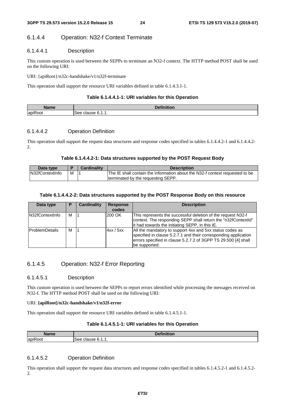# 6.1.4.4 Operation: N32-f Context Terminate

# 6.1.4.4.1 Description

This custom operation is used between the SEPPs to terminate an N32-f context. The HTTP method POST shall be used on the following URI:

URI: {apiRoot}/n32c-handshake/v1/n32f-terminate

This operation shall support the resource URI variables defined in table 6.1.4.3.1-1.

#### **Table 6.1.4.4.1-1: URI variables for this Operation**

| Nlama                                      | $D$ afinitian              |
|--------------------------------------------|----------------------------|
| aane-                                      | NUL.                       |
| $\overline{\phantom{a}}$<br><b>ApiRoot</b> | see<br>clause<br>0.<br>. . |

#### 6.1.4.4.2 Operation Definition

This operation shall support the request data structures and response codes specified in tables 6.1.4.4.2-1 and 6.1.4.4.2- 2.

#### **Table 6.1.4.4.2-1: Data structures supported by the POST Request Body**

| Data type        |   | <b>Cardinality</b> | <b>Description</b>                                                           |
|------------------|---|--------------------|------------------------------------------------------------------------------|
| IN32fContextInfo | М |                    | The IE shall contain the information about the N32-f context requested to be |
|                  |   |                    | terminated by the requesting SEPP.                                           |

#### **Table 6.1.4.4.2-2: Data structures supported by the POST Response Body on this resource**

| Data type             | P | <b>Cardinality</b> | <b>Response</b> | <b>Description</b>                                                                                                                                                                                             |
|-----------------------|---|--------------------|-----------------|----------------------------------------------------------------------------------------------------------------------------------------------------------------------------------------------------------------|
|                       |   |                    | codes           |                                                                                                                                                                                                                |
| N32fContextInfo       | м |                    | 200 OK          | This represents the successful deletion of the request N32-f<br>context. The responding SEPP shall return the "n32fContextId"<br>it had towards the initiating SEPP, in this IE.                               |
| <b>ProblemDetails</b> | м |                    | 4xx / 5xx       | All the mandatory to support 4xx and 5xx status codes as<br>specified in clause 5.2.7.1 and their corresponding application<br>errors specified in clause 5.2.7.2 of 3GPP TS 29.500 [4] shall<br>be supported. |

#### 6.1.4.5 Operation: N32-f Error Reporting

#### 6.1.4.5.1 Description

This custom operation is used between the SEPPs to report errors identified while processing the messages received on N32-f. The HTTP method POST shall be used on the following URI:

#### URI: **{apiRoot}/n32c-handshake/v1/n32f-error**

This operation shall support the resource URI variables defined in table 6.1.4.5.1-1.

#### **Table 6.1.4.5.1-1: URI variables for this Operation**

| Name                                       | $\bullet$ . $\bullet$<br>n.<br>чион                     |
|--------------------------------------------|---------------------------------------------------------|
| $\overline{\phantom{a}}$<br><b>ApiRoot</b> | -<br>See<br>$\sim$<br>11C C<br>. .<br>ciause<br>U.<br>. |

#### 6.1.4.5.2 Operation Definition

This operation shall support the request data structures and response codes specified in tables 6.1.4.5.2-1 and 6.1.4.5.2- 2.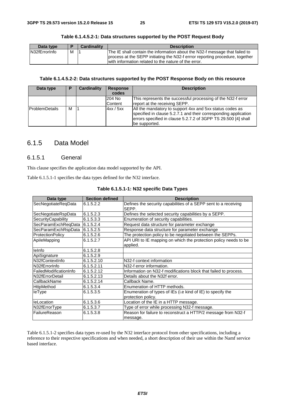| Data type     |   | <b>Cardinality</b> | <b>Description</b>                                                                                                                                                                                                   |
|---------------|---|--------------------|----------------------------------------------------------------------------------------------------------------------------------------------------------------------------------------------------------------------|
| N32fErrorInfo | м |                    | The IE shall contain the information about the N32-f message that failed to<br>process at the SEPP initiating the N32-f errror reporting procedure, together<br>with information related to the nature of the error. |

#### **Table 6.1.4.5.2-1: Data structures supported by the POST Request Body**

#### **Table 6.1.4.5.2-2: Data structures supported by the POST Response Body on this resource**

| Data type             | D | Cardinality | <b>Response</b> | <b>Description</b>                                                                                                                                                                                             |
|-----------------------|---|-------------|-----------------|----------------------------------------------------------------------------------------------------------------------------------------------------------------------------------------------------------------|
|                       |   |             | codes           |                                                                                                                                                                                                                |
|                       |   |             | 204 No          | This represents the successful processing of the N32-f error                                                                                                                                                   |
|                       |   |             | Content         | report at the receiving SEPP.                                                                                                                                                                                  |
| <b>ProblemDetails</b> | М |             | 4xx / 5xx       | All the mandatory to support 4xx and 5xx status codes as<br>specified in clause 5.2.7.1 and their corresponding application<br>errors specified in clause 5.2.7.2 of 3GPP TS 29.500 [4] shall<br>be supported. |

# 6.1.5 Data Model

#### 6.1.5.1 General

This clause specifies the application data model supported by the API.

Table 6.1.5.1-1 specifies the data types defined for the N32 interface.

| Data type               | <b>Section defined</b> | <b>Description</b>                                                                |
|-------------------------|------------------------|-----------------------------------------------------------------------------------|
| SecNegotiateReqData     | 6.1.5.2.2              | Defines the security capabilities of a SEPP sent to a receiving<br>SEPP.          |
| SecNegotiateRspData     | 6.1.5.2.3              | Defines the selected security capabilities by a SEPP.                             |
| SecurityCapability      | 6.1.5.3.3              | Enumeration of security capabilities.                                             |
| SecParamExchReqData     | 6.1.5.2.4              | Request data structure for parameter exchange                                     |
| SecParamExchRspData     | 6.1.5.2.5              | Response data structure for parameter exchange                                    |
| <b>ProtectionPolicy</b> | 6.1.5.2.6              | The protection policy to be negotiated between the SEPPs.                         |
| ApileMapping            | 6.1.5.2.7              | API URI to IE mapping on which the protection policy needs to be<br>applied.      |
| lelnfo                  | 6.1.5.2.8              |                                                                                   |
| ApiSignature            | 6.1.5.2.9              |                                                                                   |
| N32fContextInfo         | 6.1.5.2.10             | N32-f context information                                                         |
| N32fErrorInfo           | 6.1.5.2.11             | N32-f error information.                                                          |
| FailedModificationInfo  | 6.1.5.2.12             | Information on N32-f modifications block that failed to process.                  |
| N32fErrorDetail         | 6.1.5.2.13             | Details about the N32f error.                                                     |
| CallbackName            | 6.1.5.2.14             | Callback Name.                                                                    |
| <b>HttpMethod</b>       | 6.1.5.3.4              | Enumeration of HTTP methods.                                                      |
| leType                  | 6.1.5.3.5              | Enumeration of types of IEs (i.e kind of IE) to specify the<br>protection policy. |
| leLocation              | 6.1.5.3.6              | Location of the IE in a HTTP message.                                             |
| N32fErrorType           | 6.1.5.3.7              | Type of error while processing N32-f message.                                     |
| FailureReason           | 6.1.5.3.8              | Reason for failure to reconstruct a HTTP/2 message from N32-f<br>message.         |

Table 6.1.5.1-2 specifies data types re-used by the N32 interface protocol from other specifications, including a reference to their respective specifications and when needed, a short description of their use within the Namf service based interface.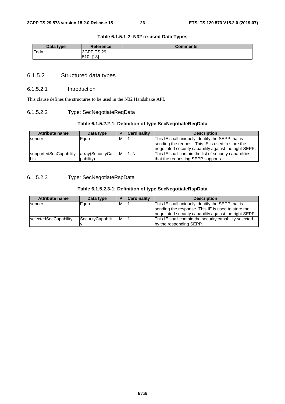| Table 6.1.5.1-2: N32 re-used Data Types |  |  |
|-----------------------------------------|--|--|
|-----------------------------------------|--|--|

| Data type | <b>Reference</b> | Comments |
|-----------|------------------|----------|
| Fqdn      | I3GPP TS 29.     |          |
|           | [18]<br>510      |          |

### 6.1.5.2 Structured data types

#### 6.1.5.2.1 Introduction

This clause defines the structures to be used in the N32 Handshake API.

#### 6.1.5.2.2 Type: SecNegotiateReqData

#### **Table 6.1.5.2.2-1: Definition of type SecNegotiateReqData**

| <b>Attribute name</b>  | Data type        |   | <b>Cardinality</b> | <b>Description</b>                                      |
|------------------------|------------------|---|--------------------|---------------------------------------------------------|
| sender                 | Fadn             | м |                    | This IE shall uniquely identify the SEPP that is        |
|                        |                  |   |                    | sending the request. This IE is used to store the       |
|                        |                  |   |                    | negotiated security capability against the right SEPP.  |
| supportedSecCapability | array(SecurityCa | M | 11N                | This IE shall contain the list of security capabilities |
| List                   | pability)        |   |                    | that the requesting SEPP supports.                      |

# 6.1.5.2.3 Type: SecNegotiateRspData

#### **Table 6.1.5.2.3-1: Definition of type SecNegotiateRspData**

| <b>Attribute name</b> | Data type         |   | <b>Cardinality</b> | <b>Description</b>                                      |
|-----------------------|-------------------|---|--------------------|---------------------------------------------------------|
| sender                | Fadn              | M |                    | This IE shall uniquely identify the SEPP that is        |
|                       |                   |   |                    | sending the response. This IE is used to store the      |
|                       |                   |   |                    | Inegotiated security capability against the right SEPP. |
| selectedSecCapability | SecurityCapabilit | м |                    | This IE shall contain the security capability selected  |
|                       |                   |   |                    | by the responding SEPP.                                 |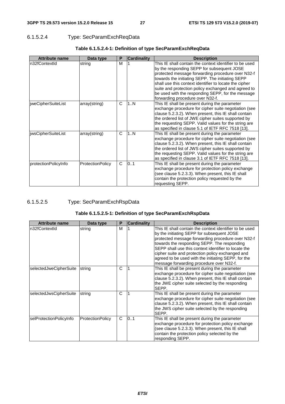# 6.1.5.2.4 Type: SecParamExchReqData

| <b>Attribute name</b> | Data type               | P | <b>Cardinality</b> | <b>Description</b>                                                                                                                                                                                                                                                                                                                                                                                                       |
|-----------------------|-------------------------|---|--------------------|--------------------------------------------------------------------------------------------------------------------------------------------------------------------------------------------------------------------------------------------------------------------------------------------------------------------------------------------------------------------------------------------------------------------------|
| In32fContextId        | string                  | м |                    | This IE shall contain the context identifier to be used<br>by the responding SEPP for subsequent JOSE<br>protected message forwarding procedure over N32-f<br>towards the initiating SEPP. The initiating SEPP<br>shall use this context identifier to locate the cipher<br>suite and protection policy exchanged and agreed to<br>be used with the responding SEPP, for the message<br>forwarding procedure over N32-f. |
| jweCipherSuiteList    | array(string)           | C | 1N                 | This IE shall be present during the parameter<br>exchange procedure for cipher suite negotiation (see<br>clause 5.2.3.2). When present, this IE shall contain<br>the ordered list of JWE cipher suites supported by<br>the requesting SEPP. Valid values for the string are<br>as specified in clause 5.1 of IETF RFC 7518 [13].                                                                                         |
| jwsCipherSuiteList    | array(string)           | C | 1N                 | This IE shall be present during the parameter<br>exchange procedure for cipher suite negotiation (see<br>clause 5.2.3.2). When present, this IE shall contain<br>the ordered list of JWS cipher suites supported by<br>the requesting SEPP. Valid values for the string are<br>as specified in clause 3.1 of IETF RFC 7518 [13].                                                                                         |
| protectionPolicyInfo  | <b>ProtectionPolicy</b> | C | 0.1                | This IE shall be present during the parameter<br>exchange procedure for protection policy exchange<br>(see clause 5.2.3.3). When present, this IE shall<br>contain the protection policy requested by the<br>requesting SEPP.                                                                                                                                                                                            |

# **Table 6.1.5.2.4-1: Definition of type SecParamExchReqData**

### 6.1.5.2.5 Type: SecParamExchRspData

# **Table 6.1.5.2.5-1: Definition of type SecParamExchRspData**

| <b>Attribute name</b>   | Data type               | P | <b>Cardinality</b> | <b>Description</b>                                                                                                                                                                                                                                                                                                                                                                                                       |
|-------------------------|-------------------------|---|--------------------|--------------------------------------------------------------------------------------------------------------------------------------------------------------------------------------------------------------------------------------------------------------------------------------------------------------------------------------------------------------------------------------------------------------------------|
| n32fContextId           | string                  | M |                    | This IE shall contain the context identifier to be used<br>by the initiating SEPP for subsequent JOSE<br>protected message forwarding procedure over N32-f<br>towards the responding SEPP. The responding<br>SEPP shall use this context identifier to locate the<br>cipher suite and protection policy exchanged and<br>agreed to be used with the initiating SEPP, for the<br>message forwarding procedure over N32-f. |
| selectedJweCipherSuite  | string                  | C |                    | This IE shall be present during the parameter<br>exchange procedure for cipher suite negotiation (see<br>clause 5.2.3.2). When present, this IE shall contain<br>the JWE cipher suite selected by the responding<br>SEPP.                                                                                                                                                                                                |
| selectedJwsCipherSuite  | string                  | С |                    | This IE shall be present during the parameter<br>exchange procedure for cipher suite negotiation (see<br>clause 5.2.3.2). When present, this IE shall contain<br>the JWS cipher suite selected by the responding<br>SEPP.                                                                                                                                                                                                |
| selProtectionPolicyInfo | <b>ProtectionPolicy</b> | C | 0.1                | This IE shall be present during the parameter<br>exchange procedure for protection policy exchange<br>(see clause 5.2.3.3). When present, this IE shall<br>contain the protection policy selected by the<br>responding SEPP.                                                                                                                                                                                             |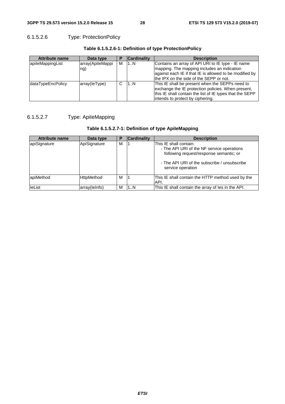# 6.1.5.2.6 Type: ProtectionPolicy

| <b>Attribute name</b> | Data type        | D  | <b>Cardinality</b> | <b>Description</b>                                       |
|-----------------------|------------------|----|--------------------|----------------------------------------------------------|
| apileMappingList      | array(ApileMappi | м  | 11N                | Contains an array of API URI to IE type - IE name        |
|                       | ng)              |    |                    | mapping. The mapping includes an indication              |
|                       |                  |    |                    | against each IE if that IE is allowed to be modified by  |
|                       |                  |    |                    | lthe IPX on the side of the SEPP or not.                 |
| dataTypeEncPolicy     | array(leType)    | C. | 1N                 | This IE shall be present when the SEPPs need to          |
|                       |                  |    |                    | exchange the IE protection policies. When present,       |
|                       |                  |    |                    | this IE shall contain the list of IE types that the SEPP |
|                       |                  |    |                    | intends to protect by ciphering.                         |

# **Table 6.1.5.2.6-1: Definition of type ProtectionPolicy**

# 6.1.5.2.7 Type: ApileMapping

### Table 6.1.5.2.7-1: Definition of type ApileMapping

| <b>Attribute name</b> | Data type         | P | <b>Cardinality</b> | <b>Description</b>                                                |
|-----------------------|-------------------|---|--------------------|-------------------------------------------------------------------|
| apiSignature          | ApiSignature      | M |                    | This IE shall contain:                                            |
|                       |                   |   |                    | - The API URI of the NF service operations                        |
|                       |                   |   |                    | following request/response semantic; or                           |
|                       |                   |   |                    | - The API URI of the subscribe / unsubscribe<br>service operation |
| apiMethod             | <b>HttpMethod</b> | M |                    | This IE shall contain the HTTP method used by the                 |
|                       |                   |   |                    | API.                                                              |
| leList                | array(lelnfo)     | м | 1N                 | This IE shall contain the array of les in the API.                |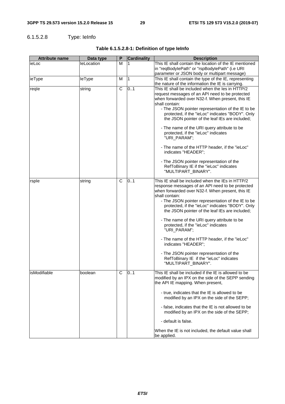# 6.1.5.2.8 Type: IeInfo

| <b>Attribute name</b> | Data type  | P            | <b>Cardinality</b> | <b>Description</b>                                     |
|-----------------------|------------|--------------|--------------------|--------------------------------------------------------|
| ieLoc                 | leLocation | М            |                    | This IE shall contain the location of the IE mentioned |
|                       |            |              |                    | in "reqBodylePath" or "rspBodylePath" (i.e URI         |
|                       |            |              |                    | parameter or JSON body or multipart message)           |
| ieType                | leType     | М            | <b>11</b>          | This IE shall contain the type of the IE, representing |
|                       |            |              |                    | the nature of the information the IE is carrying.      |
| regle                 | string     | C            | 0.1                | This IE shall be included when the les in HTTP/2       |
|                       |            |              |                    | request messages of an API need to be protected        |
|                       |            |              |                    | when forwarded over N32-f. When present, this IE       |
|                       |            |              |                    | shall contain:                                         |
|                       |            |              |                    | - The JSON pointer representation of the IE to be      |
|                       |            |              |                    | protected, if the "ieLoc" indicates "BODY". Only       |
|                       |            |              |                    | the JSON pointer of the leaf IEs are included;         |
|                       |            |              |                    | - The name of the URI query attribute to be            |
|                       |            |              |                    | protected, if the "ieLoc" indicates                    |
|                       |            |              |                    | "URI_PARAM";                                           |
|                       |            |              |                    | - The name of the HTTP header, if the "ieLoc"          |
|                       |            |              |                    | indicates "HEADER":                                    |
|                       |            |              |                    | - The JSON pointer representation of the               |
|                       |            |              |                    | RefToBinary IE if the "ieLoc" indicates                |
|                       |            |              |                    | "MULTIPART_BINARY".                                    |
| rsple                 | string     | $\mathsf{C}$ | 0.1                | This IE shall be included when the IEs in HTTP/2       |
|                       |            |              |                    | response messages of an API need to be protected       |
|                       |            |              |                    | when forwarded over N32-f. When present, this IE       |
|                       |            |              |                    | shall contain:                                         |
|                       |            |              |                    | - The JSON pointer representation of the IE to be      |
|                       |            |              |                    | protected, if the "ieLoc" indicates "BODY". Only       |
|                       |            |              |                    | the JSON pointer of the leaf IEs are included;         |
|                       |            |              |                    | - The name of the URI query attribute to be            |
|                       |            |              |                    | protected, if the "ieLoc" indicates                    |
|                       |            |              |                    | "URI_PARAM";                                           |
|                       |            |              |                    | - The name of the HTTP header, if the "ieLoc"          |
|                       |            |              |                    | indicates "HEADER";                                    |
|                       |            |              |                    | - The JSON pointer representation of the               |
|                       |            |              |                    | RefToBinary IE if the "ieLoc" indicates                |
|                       |            |              |                    | "MULTIPART_BINARY".                                    |
| isModifiable          | boolean    | C            | 01                 | This IE shall be included if the IE is allowed to be   |
|                       |            |              |                    | modified by an IPX on the side of the SEPP sending     |
|                       |            |              |                    | the API IE mapping. When present,                      |
|                       |            |              |                    |                                                        |
|                       |            |              |                    | - true, indicates that the IE is allowed to be         |
|                       |            |              |                    | modified by an IPX on the side of the SEPP;            |
|                       |            |              |                    | - false, indicates that the IE is not allowed to be    |
|                       |            |              |                    | modified by an IPX on the side of the SEPP;            |
|                       |            |              |                    | - default is false.                                    |
|                       |            |              |                    | When the IE is not included, the default value shall   |
|                       |            |              |                    | be applied.                                            |

# **Table 6.1.5.2.8-1: Definition of type IeInfo**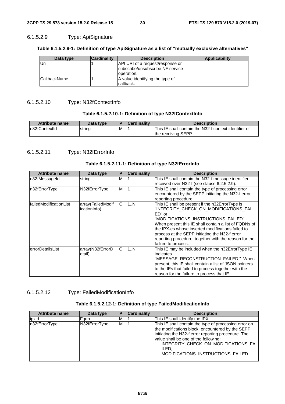#### 6.1.5.2.9 Type: ApiSignature

#### **Table 6.1.5.2.9-1: Definition of type ApiSignature as a list of "mutually exclusive alternatives"**

| Data type           | <b>Cardinality</b> | <b>Description</b>               | Applicability |
|---------------------|--------------------|----------------------------------|---------------|
| lUri                |                    | API URI of a request/response or |               |
|                     |                    | subscribe/unsubscribe NF service |               |
|                     |                    | loperation.                      |               |
| <b>CallbackName</b> |                    | A value identifying the type of  |               |
|                     |                    | callback.                        |               |

#### 6.1.5.2.10 Type: N32fContextInfo

#### **Table 6.1.5.2.10-1: Definition of type N32fContextInfo**

| Attribute name | Data type |   | <b>Cardinality</b> | <b>Description</b>                                    |
|----------------|-----------|---|--------------------|-------------------------------------------------------|
| n32fContextId  | string    | М |                    | This IE shall contain the N32-f context identifier of |
|                |           |   |                    | the receiving SEPP.                                   |

#### 6.1.5.2.11 Type: N32fErrorInfo

#### **Table 6.1.5.2.11-1: Definition of type N32fErrorInfo**

| <b>Attribute name</b>  | Data type                                | P       | <b>Cardinality</b> | <b>Description</b>                                                                                                                                                                                                                                                                                                                                                                          |
|------------------------|------------------------------------------|---------|--------------------|---------------------------------------------------------------------------------------------------------------------------------------------------------------------------------------------------------------------------------------------------------------------------------------------------------------------------------------------------------------------------------------------|
| n32fMessageId          | string                                   | м       |                    | This IE shall contain the N32-f message identifier<br>received over N32-f (see clause 6.2.5.2.9).                                                                                                                                                                                                                                                                                           |
| n32fErrorType          | N32fErrorType                            | M       |                    | This IE shall contain the type of processing error<br>encountered by the SEPP initiating the N32-f error<br>reporting procedure.                                                                                                                                                                                                                                                            |
| failedModificationList | array(FailedModif<br><i>icationInfo)</i> | C       | 1N                 | This IE shall be present if the n32ErrorType is<br>"INTEGRITY_CHECK_ON_MODIFICATIONS_FAIL<br>ED" or<br>"MODIFICATIONS_INSTRUCTIONS_FAILED".<br>When present this IE shall contain a list of FQDNs of<br>the IPX-es whose inserted modifications failed to<br>process at the SEPP initiating the N32-f error<br>reporting procedure, together with the reason for the<br>failure to process. |
| errorDetailsList       | array(N32fErrorD<br>etail)               | $\circ$ | 1N                 | This IE may be included when the n32ErrorType IE<br>indicates<br>"MESSAGE_RECONSTRUCTION_FAILED ". When<br>present, this IE shall contain a list of JSON pointers<br>to the IEs that failed to process together with the<br>reason for the failure to process that IE.                                                                                                                      |

6.1.5.2.12 Type: FailedModificationInfo

#### **Table 6.1.5.2.12-1: Definition of type FailedModificationInfo**

| <b>Attribute name</b> | Data type     | D | <b>Cardinality</b> | <b>Description</b>                                                                                                                                                                                                                                                                            |
|-----------------------|---------------|---|--------------------|-----------------------------------------------------------------------------------------------------------------------------------------------------------------------------------------------------------------------------------------------------------------------------------------------|
| ipxId                 | Fadn          | м |                    | This IE shall identify the IPX.                                                                                                                                                                                                                                                               |
| n32fErrorType         | N32fErrorType | м |                    | This IE shall contain the type of processing error on<br>the modifications block, encountered by the SEPP<br>initiating the N32-f error reporting procedure. The<br>value shall be one of the following:<br>INTEGRITY_CHECK_ON_MODIFICATIONS_FA<br>ILED:<br>MODIFICATIONS_INSTRUCTIONS_FAILED |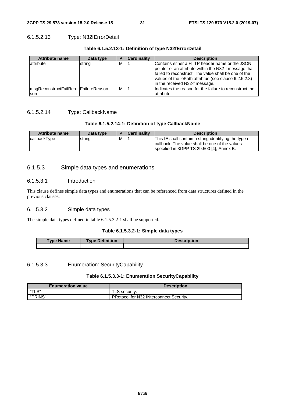#### 6.1.5.2.13 Type: N32fErrorDetail

| Attribute name         | Data type             |   | <b>Cardinality</b> | <b>Description</b>                                                                                                                                                                                                                                          |
|------------------------|-----------------------|---|--------------------|-------------------------------------------------------------------------------------------------------------------------------------------------------------------------------------------------------------------------------------------------------------|
| lattribute             | string                | M |                    | Contains either a HTTP header name or the JSON<br>pointer of an attribute within the N32-f message that<br>Ifailed to reconstruct. The value shall be one of the<br>values of the iePath attribtue (see clause 6.2.5.2.8)<br>in the received N32-f message. |
| ImsgReconstructFailRea | <b>IFailureReason</b> | M |                    | Indicates the reason for the failure to reconstruct the                                                                                                                                                                                                     |
| <b>Ison</b>            |                       |   |                    | attribute.                                                                                                                                                                                                                                                  |

#### **Table 6.1.5.2.13-1: Definition of type N32fErrorDetail**

#### 6.1.5.2.14 Type: CallbackName

#### **Table 6.1.5.2.14-1: Definition of type CallbackName**

| <b>Attribute name</b> | Data type |   | <b>Cardinality</b> | <b>Description</b>                                                                                                                                    |
|-----------------------|-----------|---|--------------------|-------------------------------------------------------------------------------------------------------------------------------------------------------|
| callbackType          | string    | M |                    | This IE shall contain a string identifying the type of<br>callback. The value shall be one of the values<br>specified in 3GPP TS 29.500 [4], Annex B. |

#### 6.1.5.3 Simple data types and enumerations

#### 6.1.5.3.1 Introduction

This clause defines simple data types and enumerations that can be referenced from data structures defined in the previous clauses.

#### 6.1.5.3.2 Simple data types

The simple data types defined in table 6.1.5.3.2-1 shall be supported.

#### **Table 6.1.5.3.2-1: Simple data types**

| Type Name | <b>Definition</b><br><b>Tvpe</b> | Description |
|-----------|----------------------------------|-------------|
|           |                                  |             |

#### 6.1.5.3.3 Enumeration: SecurityCapability

#### **Table 6.1.5.3.3-1: Enumeration SecurityCapability**

| <b>Enumeration value</b> | <b>Description</b>                             |
|--------------------------|------------------------------------------------|
| "TLS"                    | TLS security.                                  |
| "PRINS"                  | <b>PRotocol for N32 INterconnect Security.</b> |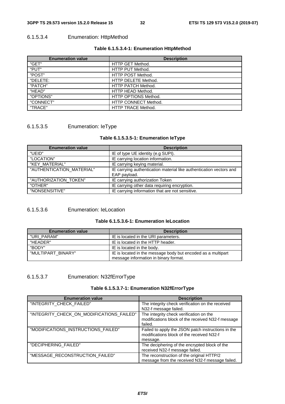#### 6.1.5.3.4 Enumeration: HttpMethod

#### **Table 6.1.5.3.4-1: Enumeration HttpMethod**

| <b>Enumeration value</b> | <b>Description</b>        |
|--------------------------|---------------------------|
| "GET"                    | HTTP GET Method.          |
| "PUT"                    | HTTP PUT Method.          |
| "POST"                   | HTTP POST Method.         |
| "DELETE:                 | HTTP DELETE Method.       |
| "PATCH"                  | <b>HTTP PATCH Method.</b> |
| "HEAD"                   | HTTP HEAD Method.         |
| "OPTIONS"                | HTTP OPTIONS Method.      |
| "CONNECT"                | HTTP CONNECT Method.      |
| "TRACE"                  | <b>HTTP TRACE Method.</b> |

# 6.1.5.3.5 Enumeration: IeType

#### **Table 6.1.5.3.5-1: Enumeration IeType**

| <b>Enumeration value</b>  | <b>Description</b>                                                                  |
|---------------------------|-------------------------------------------------------------------------------------|
| "UEID"                    | IE of type UE identity (e.g SUPI).                                                  |
| "LOCATION"                | IE carrying location information.                                                   |
| "KEY_MATERIAL"            | IE carrying keying material.                                                        |
| "AUTHENTICATION_MATERIAL" | IE carrying authentication material like authentication vectors and<br>EAP payload. |
| "AUTHORIZATION_TOKEN"     | IE carrying authorization Token                                                     |
| "OTHER"                   | IE carrying other data requiring encryption.                                        |
| "NONSENSITIVE"            | IE carrying information that are not sensitive.                                     |

#### 6.1.5.3.6 Enumeration: IeLocation

#### **Table 6.1.5.3.6-1: Enumeration IeLocation**

| <b>Enumeration value</b> | <b>Description</b>                                           |
|--------------------------|--------------------------------------------------------------|
| "URI PARAM"              | IE is located in the URI parameters.                         |
| "HEADER"                 | IE is located in the HTTP header.                            |
| "BODY"                   | IE is located in the body.                                   |
| "MULTIPART BINARY"       | IE is located in the message body but encoded as a multipart |
|                          | message information in binary format.                        |

# 6.1.5.3.7 Enumeration: N32fErrorType

#### **Table 6.1.5.3.7-1: Enumeration N32fErrorType**

| <b>Enumeration value</b>                  | <b>Description</b>                                                                                          |
|-------------------------------------------|-------------------------------------------------------------------------------------------------------------|
| "INTEGRITY CHECK FAILED"                  | The integrity check verification on the received<br>N32-f message failed.                                   |
| "INTEGRITY CHECK ON MODIFICATIONS FAILED" | The integrity check verification on the<br>modifications block of the received N32-f message<br>failed.     |
| "MODIFICATIONS_INSTRUCTIONS_FAILED"       | Failed to apply the JSON patch instructions in the<br>modifications block of the received N32-f<br>message. |
| "DECIPHERING_FAILED"                      | The deciphering of the encrypted block of the<br>received N32-f message failed.                             |
| "MESSAGE_RECONSTRUCTION_FAILED"           | The reconstruction of the original HTTP/2<br>message from the received N32-f message failed.                |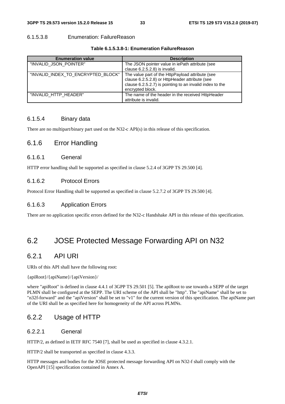#### 6.1.5.3.8 Enumeration: FailureReason

**Table 6.1.5.3.8-1: Enumeration FailureReason** 

| <b>Enumeration value</b>           | <b>Description</b>                                                                                                                                                                 |
|------------------------------------|------------------------------------------------------------------------------------------------------------------------------------------------------------------------------------|
| "INVALID JSON POINTER"             | The JSON pointer value in iePath attribute (see<br>clause 6.2.5.2.8) is invalid.                                                                                                   |
| "INVALID INDEX TO ENCRYPTED BLOCK" | The value part of the HttpPayload attribute (see<br>clause 6.2.5.2.8) or HttpHeader attribute (see<br>clause 6.2.5.2.7) is pointing to an invalid index to the<br>encrypted block. |
| "INVALID HTTP HEADER"              | The name of the header in the received HttpHeader<br>attribute is invalid.                                                                                                         |

#### 6.1.5.4 Binary data

There are no multipart/binary part used on the N32-c API(s) in this release of this specification.

### 6.1.6 Error Handling

#### 6.1.6.1 General

HTTP error handling shall be supported as specified in clause 5.2.4 of 3GPP TS 29.500 [4].

#### 6.1.6.2 Protocol Errors

Protocol Error Handling shall be supported as specified in clause 5.2.7.2 of 3GPP TS 29.500 [4].

#### 6.1.6.3 Application Errors

There are no application specific errors defined for the N32-c Handshake API in this release of this specification.

# 6.2 JOSE Protected Message Forwarding API on N32

# 6.2.1 API URI

URIs of this API shall have the following root:

{apiRoot}/{apiName}/{apiVersion}/

where "apiRoot" is defined in clause 4.4.1 of 3GPP TS 29.501 [5]. The apiRoot to use towards a SEPP of the target PLMN shall be configured at the SEPP. The URI scheme of the API shall be "http". The "apiName" shall be set to "n32f-forward" and the "apiVersion" shall be set to "v1" for the current version of this specification. The apiName part of the URI shall be as specified here for homogeneity of the API across PLMNs.

# 6.2.2 Usage of HTTP

#### 6.2.2.1 General

HTTP/2, as defined in IETF RFC 7540 [7], shall be used as specified in clause 4.3.2.1.

HTTP/2 shall be transported as specified in clause 4.3.3.

HTTP messages and bodies for the JOSE protected message forwarding API on N32-f shall comply with the OpenAPI [15] specification contained in Annex A.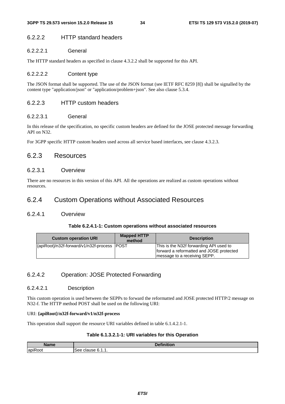#### 6.2.2.2 HTTP standard headers

#### 6.2.2.2.1 General

The HTTP standard headers as specified in clause 4.3.2.2 shall be supported for this API.

#### 6.2.2.2.2 Content type

The JSON format shall be supported. The use of the JSON format (see IETF RFC 8259 [8]) shall be signalled by the content type "application/json" or "application/problem+json". See also clause 5.3.4.

#### 6.2.2.3 HTTP custom headers

#### 6.2.2.3.1 General

In this release of the specification, no specific custom headers are defined for the JOSE protected message forwarding API on N32.

For 3GPP specific HTTP custom headers used across all service based interfaces, see clause 4.3.2.3.

# 6.2.3 Resources

### 6.2.3.1 Overview

There are no resources in this version of this API. All the operations are realized as custom operations without resources.

# 6.2.4 Custom Operations without Associated Resources

#### 6.2.4.1 Overview

#### **Table 6.2.4.1-1: Custom operations without associated resources**

| <b>Custom operation URI</b>                   | <b>Mapped HTTP</b><br>method | <b>Description</b>                                                                                                   |
|-----------------------------------------------|------------------------------|----------------------------------------------------------------------------------------------------------------------|
| {{apiRoot}/n32f-forward/v1/n32f-process  POST |                              | This is the N32f forwarding API used to<br>forward a reformatted and JOSE protected<br>Imessage to a receiving SEPP. |

### 6.2.4.2 Operation: JOSE Protected Forwarding

#### 6.2.4.2.1 Description

This custom operation is used between the SEPPs to forward the reformatted and JOSE protected HTTP/2 message on N32-f. The HTTP method POST shall be used on the following URI:

#### URI: **{apiRoot}/n32f-forward/v1/n32f-process**

This operation shall support the resource URI variables defined in table 6.1.4.2.1-1.

#### **Table 6.1.3.2.1-1: URI variables for this Operation**

| Name                                       | <b>Definitio</b><br>1ON.                     |
|--------------------------------------------|----------------------------------------------|
| $\overline{\phantom{a}}$<br><b>apiRoot</b> | $\epsilon$<br>-<br>clause<br>See<br>. U<br>. |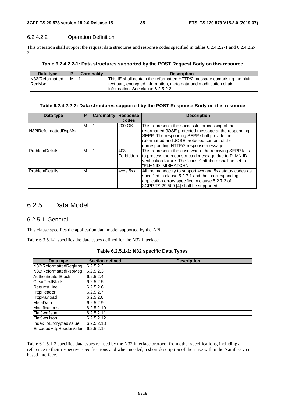#### 6.2.4.2.2 Operation Definition

This operation shall support the request data structures and response codes specified in tables 6.2.4.2.2-1 and 6.2.4.2.2- 2.

|  |  |  |  | Table 6.2.4.2.2-1: Data structures supported by the POST Request Body on this resource |
|--|--|--|--|----------------------------------------------------------------------------------------|
|--|--|--|--|----------------------------------------------------------------------------------------|

| Data type                  |   | <b>Cardinality</b> | <b>Description</b>                                                                                                                                                                     |
|----------------------------|---|--------------------|----------------------------------------------------------------------------------------------------------------------------------------------------------------------------------------|
| IN32fReformatted<br>RegMsg | м |                    | This IE shall contain the reformatted HTTP/2 message comprising the plain<br>text part, encrypted information, meta data and modification chain<br>linformation. See clause 6.2.5.2.2. |
|                            |   |                    |                                                                                                                                                                                        |

#### **Table 6.2.4.2.2-2: Data structures supported by the POST Response Body on this resource**

| Data type              | P | <b>Cardinality</b> | Response<br>codes | <b>Description</b>                                                                                                                                                                                                                                 |
|------------------------|---|--------------------|-------------------|----------------------------------------------------------------------------------------------------------------------------------------------------------------------------------------------------------------------------------------------------|
| N32fReformattedRspMsg  | м |                    | 200 OK            | This represents the successful processing of the<br>reformatted JOSE protected message at the responding<br>SEPP. The responding SEPP shall provide the<br>reformatted and JOSE protected content of the<br>corresponding HTTP/2 response message. |
| <b>IProblemDetails</b> | М |                    | 403<br>Forbidden  | This represents the case where the receiving SEPP fails<br>to process the reconstructed message due to PLMN ID<br>verification failure. The "cause" attribute shall be set to<br>"PLMNID MISMATCH".                                                |
| <b>IProblemDetails</b> | М |                    | 4xx / 5xx         | All the mandatory to support 4xx and 5xx status codes as<br>specified in clause 5.2.7.1 and their corresponding<br>application errors specified in clause 5.2.7.2 of<br>3GPP TS 29.500 [4] shall be supported.                                     |

# 6.2.5 Data Model

#### 6.2.5.1 General

This clause specifies the application data model supported by the API.

Table 6.3.5.1-1 specifies the data types defined for the N32 interface.

| Data type              | <b>Section defined</b> | <b>Description</b> |
|------------------------|------------------------|--------------------|
| N32fReformattedReqMsg  | 6.2.5.2.2              |                    |
| N32fReformattedRspMsg  | 6.2.5.2.3              |                    |
| AuthenticatedBlock     | 6.2.5.2.4              |                    |
| ClearTextBlock         | 6.2.5.2.5              |                    |
| RequestLine            | 6.2.5.2.6              |                    |
| <b>HttpHeader</b>      | 6.2.5.2.7              |                    |
| <b>HttpPayload</b>     | 6.2.5.2.8              |                    |
| MetaData               | 6.2.5.2.9              |                    |
| Modifications          | 6.2.5.2.10             |                    |
| FlatJweJson            | 6.2.5.2.11             |                    |
| FlatJwsJson            | 6.2.5.2.12             |                    |
| IndexToEncryptedValue  | 6.2.5.2.13             |                    |
| EncodedHttpHeaderValue | 6.2.5.2.14             |                    |

| Table 6.2.5.1-1: N32 specific Data Types |  |  |
|------------------------------------------|--|--|
|------------------------------------------|--|--|

Table 6.1.5.1-2 specifies data types re-used by the N32 interface protocol from other specifications, including a reference to their respective specifications and when needed, a short description of their use within the Namf service based interface.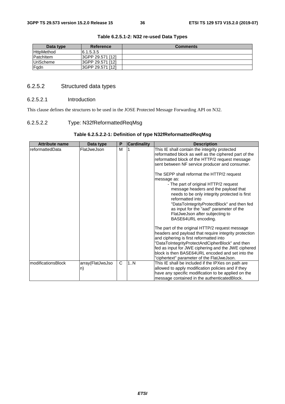| Data type         | Reference         | <b>Comments</b> |
|-------------------|-------------------|-----------------|
| <b>HttpMethod</b> | 16.1.5.3.5        |                 |
| <b>PatchItem</b>  | I3GPP 29.571 [12] |                 |
| UriScheme         | I3GPP 29.571 [12] |                 |
| Fadn              | I3GPP 29.571 [12] |                 |

#### **Table 6.2.5.1-2: N32 re-used Data Types**

## 6.2.5.2 Structured data types

### 6.2.5.2.1 Introduction

This clause defines the structures to be used in the JOSE Protected Message Forwarding API on N32.

### 6.2.5.2.2 Type: N32fReformattedReqMsg

### **Table 6.2.5.2.2-1: Definition of type N32fReformattedReqMsg**

| <b>Attribute name</b>      | Data type               | P            | <b>Cardinality</b> | <b>Description</b>                                                                                                                                                                                                                                                                                                                                                 |
|----------------------------|-------------------------|--------------|--------------------|--------------------------------------------------------------------------------------------------------------------------------------------------------------------------------------------------------------------------------------------------------------------------------------------------------------------------------------------------------------------|
| reformattedData            | FlatJweJson             | м            |                    | This IE shall contain the integrity protected<br>reformatted block as well as the ciphered part of the<br>reformatted block of the HTTP/2 request message<br>sent between NF service producer and consumer.                                                                                                                                                        |
|                            |                         |              |                    | The SEPP shall reformat the HTTP/2 request<br>message as:<br>- The part of original HTTP/2 request<br>message headers and the payload that<br>needs to be only integrity protected is first<br>reformatted into<br>"DataToIntegrityProtectBlock" and then fed<br>as input for the "aad" parameter of the<br>FlatJweJson after subjecting to<br>BASE64URL encoding. |
|                            |                         |              |                    | The part of the original HTTP/2 request message<br>headers and payload that require integrity protection<br>and ciphering is first reformatted into<br>"DataToIntegrityProtectAndCipherBlock" and then<br>fed as input for JWE ciphering and the JWE ciphered<br>block is then BASE64URL encoded and set into the<br>"ciphertext" parameter of the FlatJweJson.    |
| <b>ImodificationsBlock</b> | array(FlatJwsJso<br> n) | $\mathsf{C}$ | 1N                 | This IE shall be included if the IPXes on path are<br>allowed to apply modification policies and if they<br>have any specific modification to be applied on the<br>message contained in the authenticatedBlock.                                                                                                                                                    |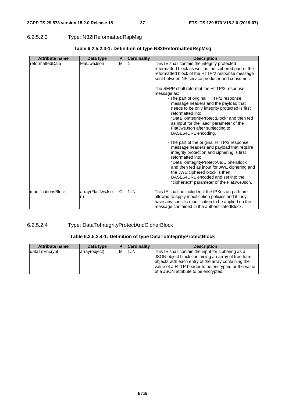## 6.2.5.2.3 Type: N32fReformattedRspMsg

| <b>Attribute name</b> | Data type                       | P | <b>Cardinality</b> | <b>Description</b>                                                                                                                                                                                                                                                                                                                                                       |
|-----------------------|---------------------------------|---|--------------------|--------------------------------------------------------------------------------------------------------------------------------------------------------------------------------------------------------------------------------------------------------------------------------------------------------------------------------------------------------------------------|
| reformattedData       | FlatJweJson                     | M |                    | This IE shall contain the integrity protected<br>reformatted block as well as the ciphered part of the<br>reformatted block of the HTTP/2 response message<br>sent between NF service producer and consumer.                                                                                                                                                             |
|                       |                                 |   |                    | The SEPP shall reformat the HTTP/2 response<br>message as:<br>- The part of original HTTP/2 response<br>message headers and the payload that<br>needs to be only integrity protected is first<br>reformatted into<br>"DataToIntegrityProtectBlock" and then fed<br>as input for the "aad" parameter of the<br>FlatJweJson after subjecting to<br>BASE64URL encoding.     |
|                       |                                 |   |                    | - The part of the original HTTP/2 response<br>message headers and payload that require<br>integrity protection and ciphering is first<br>reformatted into<br>"DataToIntegrityProtectAndCipherBlock"<br>and then fed as input for JWE ciphering and<br>the JWE ciphered block is then<br>BASE64URL encoded and set into the<br>"ciphertext" parameter of the FlatJweJson. |
| modificationsBlock    | array(FlatJwsJso<br>$ n\rangle$ | C | 1N                 | This IE shall be included if the IPXes on path are<br>allowed to apply modification policies and if they<br>have any specific modification to be applied on the<br>message contained in the authenticated Block.                                                                                                                                                         |

## **Table 6.2.5.2.3-1: Definition of type N32fReformattedRspMsg**

## 6.2.5.2.4 Type: DataToIntegrityProtectAndCipherBlock

#### **Table 6.2.5.2.4-1: Definition of type DataToIntegrityProtectBlock**

| <b>Attribute name</b> | Data type     |   | <b>Cardinality</b> | <b>Description</b>                                  |
|-----------------------|---------------|---|--------------------|-----------------------------------------------------|
| dataToEncrypt         | array(object) | м | 1N                 | This IE shall contain the input for ciphering as a  |
|                       |               |   |                    | JSON object block containing an array of free form  |
|                       |               |   |                    | objects with each entry of the array containing the |
|                       |               |   |                    | value of a HTTP header to be encrypted or the value |
|                       |               |   |                    | of a JSON attribute to be encrypted.                |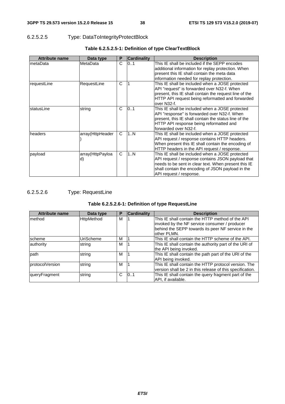# 6.2.5.2.5 Type: DataToIntegrityProtectBlock

| <b>Attribute name</b> | Data type              | Р | <b>Cardinality</b> | <b>Description</b>                                                                                                                                                                                                                           |  |
|-----------------------|------------------------|---|--------------------|----------------------------------------------------------------------------------------------------------------------------------------------------------------------------------------------------------------------------------------------|--|
| ImetaData             | MetaData               | C | 101                | This IE shall be included if the SEPP encodes<br>additional information for replay protection. When<br>present this IE shall contain the meta data<br>information needed for replay protection.                                              |  |
| requestLine           | RequestLine            | C |                    | This IE shall be included when a JOSE protected<br>API "request" is forwarded over N32-f. When<br>present, this IE shall contain the request line of the<br>HTTP API request being reformatted and forwarded<br>over N32-f.                  |  |
| statusLine            | string                 | C | 101                | This IE shall be included when a JOSE protected<br>API "response" is forwarded over N32-f. When<br>present, this IE shall contain the status line of the<br>HTTP API response being reformatted and<br>forwarded over N32-f.                 |  |
| headers               | array(HttpHeader       | C | 1N                 | This IE shall be included when a JOSE protected<br>API request / response contains HTTP headers.<br>When present this IE shall contain the encoding of<br>HTTP headers in the API request / response.                                        |  |
| payload               | array(HttpPayloa<br>d) | C | 1N                 | This IE shall be included when a JOSE protected<br>API request / response contains JSON payload that<br>needs to be sent in clear text. When present this IE<br>shall contain the encoding of JSON payload in the<br>API request / response. |  |

## **Table 6.2.5.2.5-1: Definition of type ClearTextBlock**

## 6.2.5.2.6 Type: RequestLine

#### **Table 6.2.5.2.6-1: Definition of type RequestLine**

| <b>Attribute name</b> | Data type         | P | <b>Cardinality</b> | <b>Description</b>                                        |
|-----------------------|-------------------|---|--------------------|-----------------------------------------------------------|
| Imethod               | <b>HttpMethod</b> | м |                    | This IE shall contain the HTTP method of the API          |
|                       |                   |   |                    | invoked by the NF service consumer / producer             |
|                       |                   |   |                    | behind the SEPP towards its peer NF service in the        |
|                       |                   |   |                    | lother PLMN.                                              |
| Ischeme               | UriScheme         | м |                    | This IE shall contain the HTTP scheme of the API.         |
| lauthority            | string            | м |                    | This IE shall contain the authority part of the URI of    |
|                       |                   |   |                    | the API being invoked.                                    |
| path                  | string            | м |                    | This IE shall contain the path part of the URI of the     |
|                       |                   |   |                    | API being invoked.                                        |
| protocolVersion       | string            | м |                    | This IE shall contain the HTTP protocol version. The      |
|                       |                   |   |                    | version shall be 2 in this release of this specification. |
| queryFragment         | string            | C | 101                | This IE shall contain the query fragment part of the      |
|                       |                   |   |                    | API, if available.                                        |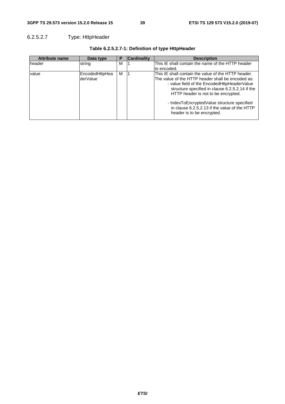# 6.2.5.2.7 Type: HttpHeader

| <b>Attribute name</b> | Data type                  | Р | <b>Cardinality</b> | <b>Description</b>                                                                                                                                                                                                                                                                               |
|-----------------------|----------------------------|---|--------------------|--------------------------------------------------------------------------------------------------------------------------------------------------------------------------------------------------------------------------------------------------------------------------------------------------|
| header                | string                     | м |                    | This IE shall contain the name of the HTTP header                                                                                                                                                                                                                                                |
|                       |                            |   |                    | lto encoded.                                                                                                                                                                                                                                                                                     |
| value                 | EncodedHttpHea<br>derValue | м |                    | This IE shall contain the value of the HTTP header.<br>The value of the HTTP header shall be encoded as:<br>- value field of the EncodedHttpHeaderValue<br>structure specified in clause 6.2.5.2.14 if the<br>HTTP header is not to be encrypted.<br>- IndexToEncryptedValue structure specified |
|                       |                            |   |                    | in clause 6.2.5.2.13 if the value of the HTTP<br>header is to be encrypted.                                                                                                                                                                                                                      |

# **Table 6.2.5.2.7-1: Definition of type HttpHeader**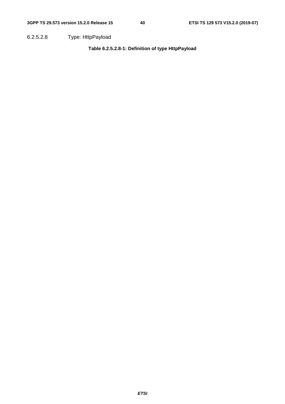6.2.5.2.8 Type: HttpPayload

**Table 6.2.5.2.8-1: Definition of type HttpPayload**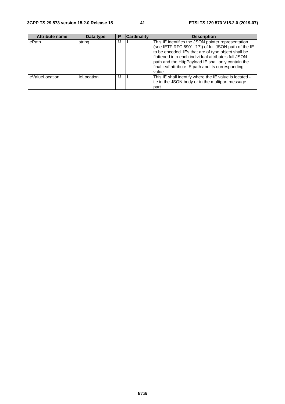| <b>Attribute name</b> | Data type         | D | <b>Cardinality</b> | <b>Description</b>                                                                                                                                                                                                                                                                                                                               |
|-----------------------|-------------------|---|--------------------|--------------------------------------------------------------------------------------------------------------------------------------------------------------------------------------------------------------------------------------------------------------------------------------------------------------------------------------------------|
| iePath                | string            | М |                    | This IE identifies the JSON pointer representation<br>(see IETF RFC 6901 [17]) of full JSON path of the IE<br>to be encoded. IEs that are of type object shall be<br>Iflattened into each individual attribute's full JSON<br>path and the HttpPayload IE shall only contain the<br>final leaf attribute IE path and its corresponding<br>value. |
| lieValueLocation      | <b>IeLocation</b> | м |                    | This IE shall identify where the IE value is located -<br>i,e in the JSON body or in the multipart message<br>part.                                                                                                                                                                                                                              |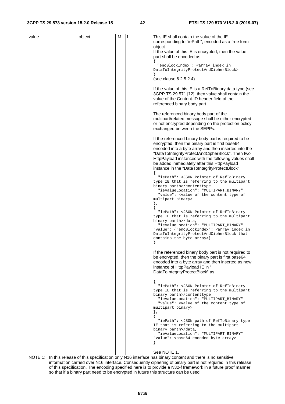#### **3GPP TS 29.573 version 15.2.0 Release 15 42 ETSI TS 129 573 V15.2.0 (2019-07)**

| value | object | м<br>11 | This IE shall contain the value of the IE<br>corresponding to "iePath", encoded as a free form                                                                                                                                                                                                                                                                               |
|-------|--------|---------|------------------------------------------------------------------------------------------------------------------------------------------------------------------------------------------------------------------------------------------------------------------------------------------------------------------------------------------------------------------------------|
|       |        |         | object.<br>If the value of this IE is encrypted, then the value<br>part shall be encoded as                                                                                                                                                                                                                                                                                  |
|       |        |         | "encBlockIndex": <array in<br="" index="">DataToIntegrityProtectAndCipherBlock&gt;</array>                                                                                                                                                                                                                                                                                   |
|       |        |         | (see clause 6.2.5.2.4).                                                                                                                                                                                                                                                                                                                                                      |
|       |        |         | If the value of this IE is a RefToBinary data type (see<br>3GPP TS 29.571 [12], then value shall contain the<br>value of the Content-ID header field of the<br>referenced binary body part.                                                                                                                                                                                  |
|       |        |         | The referenced binary body part of the<br>multipart/related message shall be either encrypted<br>or not encrypted depending on the protection policy<br>exchanged between the SEPPs.                                                                                                                                                                                         |
|       |        |         | If the referenced binary body part is required to be<br>encrypted, then the binary part is first base64<br>encoded into a byte array and then inserted into the<br>"DataToIntegrityProtectAndCipherBlock". Then two<br>HttpPayload instances with the following values shall<br>be added immediately after this HttpPayload<br>instance in the "DataToIntegrityProtectBlock" |
|       |        |         | "iePath": <json of="" pointer="" reftobinary<br="">type IE that is referring to the multipart<br/>binary parth&gt;/contenttype<br/>"ieValueLocation": "MULTIPART_BINARY"<br/>"value": <value content="" of="" of<br="" the="" type="">multipart binary&gt;<br/><math>\}</math>,</value></json>                                                                               |
|       |        |         | "iePath": <json of="" pointer="" reftobinary<br="">type IE that is referring to the multipart<br/>binary parth&gt;/data,<br/>"ieValueLocation": "MULTIPART BINARY"<br/>"value": {"encBlockIndex": <array in<br="" index="">DataToIntegrityProtectAndCipherBlock that<br/>contains the byte array&gt;}</array></json>                                                         |
|       |        |         | If the referenced binary body part is not required to<br>be encrypted, then the binary part is first base64<br>encoded into a byte array and then inserted as new<br>instance of HttpPayload IE in "<br>DataToIntegrityProtectBlock" as                                                                                                                                      |
|       |        |         | "iePath": <json of="" pointer="" reftobinary<br="">type IE that is referring to the multipart<br/>binary parth&gt;/contenttype<br/>"ieValueLocation": "MULTIPART_BINARY"<br/>"value": <value content="" of="" of<br="" the="" type="">multipart binary&gt;<br/><math>\}</math>,</value></json>                                                                               |
|       |        |         | "iePath": <json of="" path="" reftobinary="" type<br="">IE that is referring to the multipart<br/>binary parth&gt;/data,<br/>"ieValueLocation": "MULTIPART_BINARY"<br/>"value": &lt; base64 encoded byte array&gt;</json>                                                                                                                                                    |
|       |        |         | See NOTE 1.                                                                                                                                                                                                                                                                                                                                                                  |
|       |        |         | NOTE 1: In this release of this specification only N16 interface has binary content and there is no sensitive<br>information carried over N16 interface. Consequently ciphering of binary part is not required in this release<br>of this specification. The encoding specified here is to provide a N32-f framework in a future proof manner                                |
|       |        |         | so that if a binary part need to be encrypted in future this structure can be used.                                                                                                                                                                                                                                                                                          |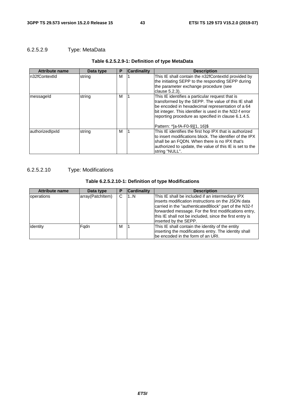# 6.2.5.2.9 Type: MetaData

| <b>Attribute name</b> | Data type | Р | <b>Cardinality</b> | <b>Description</b>                                                                                                                                                                                                                                                                                              |
|-----------------------|-----------|---|--------------------|-----------------------------------------------------------------------------------------------------------------------------------------------------------------------------------------------------------------------------------------------------------------------------------------------------------------|
| In32fContextId        | string    | м |                    | This IE shall contain the n32fContextId provided by<br>the initiating SEPP to the responding SEPP during<br>the parameter exchange procedure (see<br>clause 5.2.3).                                                                                                                                             |
| messageld             | string    | м |                    | This IE identifies a particular request that is<br>transformed by the SEPP. The value of this IE shall<br>be encoded in hexadecimal representation of a 64<br>bit integer. This identifier is used in the N32-f error<br>reporting procedure as specified in clause 6.1.4.5.<br> Pattern: ^[a-fA-F0-9]{1, 16}\$ |
| authorizedIpxId       | string    | м |                    | This IE identifies the first hop IPX that is authorized<br>Ito insert modifications block. The identifier of the IPX<br>Ishall be an FQDN. When there is no IPX that's<br>authorized to update, the value of this IE is set to the<br>string "NULL".                                                            |

# 6.2.5.2.10 Type: Modifications

| Table 6.2.5.2.10-1: Definition of type Modifications |  |  |  |
|------------------------------------------------------|--|--|--|
|------------------------------------------------------|--|--|--|

| <b>Attribute name</b> | Data type        |   | <b>Cardinality</b> | <b>Description</b>                                                                                                                                                                                                                                                                                            |
|-----------------------|------------------|---|--------------------|---------------------------------------------------------------------------------------------------------------------------------------------------------------------------------------------------------------------------------------------------------------------------------------------------------------|
| <b>Operations</b>     | array(PatchItem) | C | 1N                 | This IE shall be included if an intermediary IPX<br>linserts modification instructions on the JSON data<br>carried in the "authenticatedBlock" part of the N32-f<br>forwarded message. For the first modifications entry,<br>this IE shall not be included, since the first entry is<br>inserted by the SEPP. |
| identity              | Fgdn             | м |                    | This IE shall contain the identity of the entity<br>inserting the modifications entry. The identity shall<br>be encoded in the form of an URI.                                                                                                                                                                |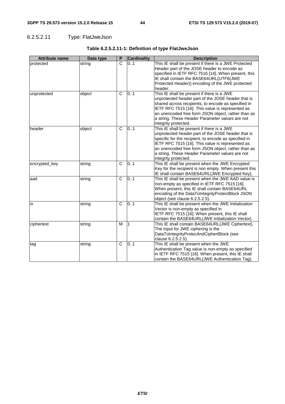# 6.2.5.2.11 Type: FlatJweJson

| <b>Attribute name</b> | Data type | P                     | <b>Cardinality</b> | <b>Description</b>                                                                                                                                                                                                                                                                                                                             |
|-----------------------|-----------|-----------------------|--------------------|------------------------------------------------------------------------------------------------------------------------------------------------------------------------------------------------------------------------------------------------------------------------------------------------------------------------------------------------|
| protected             | string    | $\overline{\text{c}}$ | 0.1                | This IE shall be present if there is a JWE Protected<br>Header part of the JOSE header to encode as<br>specified in IETF RFC 7516 [14]. When present, this<br>IE shall contain the BASE64URL(UTF8(JWE<br>Protected Header)) encoding of the JWE protected<br>header.                                                                           |
| unprotected           | object    | $\overline{C}$        | 0.1                | This IE shall be present if there is a JWE<br>unprotected header part of the JOSE header that is<br>shared across recipients, to encode as specified in<br>IETF RFC 7515 [16]. This value is represented as<br>an unencoded free form JSON object, rather than as<br>a string. These Header Parameter values are not<br>integrity protected.   |
| header                | object    | C                     | 0.1                | This IE shall be present if there is a JWE<br>unprotected header part of the JOSE header that is<br>specific for the recipient, to encode as specified in<br>IETF RFC 7515 [16]. This value is represented as<br>an unencoded free form JSON object, rather than as<br>a string. These Header Parameter values are not<br>integrity protected. |
| encrypted_key         | string    | C                     | 0.1                | This IE shall be present when the JWE Encrypted<br>Key for the recipient is non empty. When present this<br>IE shall contain BASE64URL(JWE Encrypted Key).                                                                                                                                                                                     |
| aad                   | string    | $\overline{C}$        | 0.1                | This IE shall be present when the JWE AAD value is<br>non-empty as specified in IETF RFC 7515 [16].<br>When present, this IE shall contain BASE64URL<br>encoding of the DataToIntegrityProtectBlock JSON<br>object (see clause 6.2.5.2.5).                                                                                                     |
| iv                    | string    | $\mathsf{C}$          | 0.1                | This IE shall be present when the JWE Initialization<br>Vector is non-empty as specified in<br>IETF RFC 7515 [16]. When present, this IE shall<br>contain the BASE64URL(JWE Initialization Vector).                                                                                                                                            |
| ciphertext            | string    | M                     | 1                  | This IE shall contain BASE64URL(JWE Ciphertext).<br>The input for JWE ciphering is the<br>DataToIntegrityProtecAndCiphertBlock (see<br>clause 6.2.5.2.5).                                                                                                                                                                                      |
| tag                   | string    | C                     | 0.1                | This IE shall be present when the JWE<br>Authentication Tag value is non-empty as specified<br>in IETF RFC 7515 [16]. When present, this IE shall<br>contain the BASE64URL(JWE Authentication Tag).                                                                                                                                            |

# **Table 6.2.5.2.11-1: Definition of type FlatJweJson**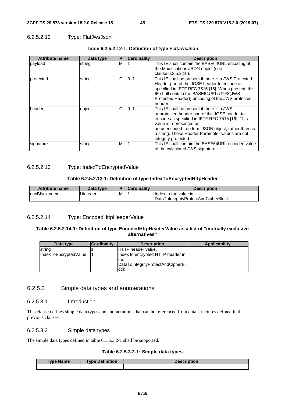#### 6.2.5.2.12 Type: FlatJwsJson

| <b>Attribute name</b> | Data type | Р | <b>Cardinality</b> | <b>Description</b>                                                                                                                                                                                                                                                                                         |
|-----------------------|-----------|---|--------------------|------------------------------------------------------------------------------------------------------------------------------------------------------------------------------------------------------------------------------------------------------------------------------------------------------------|
| payload               | string    | м |                    | This IE shall contain the BASE64URL encoding of<br>the Modifications JSON object (see<br>clause 6.2.5.2.10).                                                                                                                                                                                               |
| protected             | string    | C | 101                | This IE shall be present if there is a JWS Protected<br>Header part of the JOSE header to encode as<br>specified in IETF RFC 7515 [16]. When present, this<br>IE shall contain the BASE64URL(UTF8(JWS<br>Protected Header)) encoding of the JWS protected<br>header.                                       |
| header                | object    | C | 0.1                | This IE shall be present if there is a JWS<br>unprotected header part of the JOSE header to<br>encode as specified in IETF RFC 7515 [16]. This<br>value is represented as<br>an unencoded free form JSON object, rather than as<br>a string. These Header Parameter values are not<br>integrity protected. |
| signature             | string    | м |                    | This IE shall contain the BASE64URL encoded value<br>of the calculated JWS signature.                                                                                                                                                                                                                      |

#### **Table 6.2.5.2.12-1: Definition of type FlatJwsJson**

#### 6.2.5.2.13 Type: IndexToEncryptedValue

#### **Table 6.2.5.2.13-1: Definition of type IndexToEncryptedHttpHeader**

| <b>Attribute name</b> | Data type |   | <b>Cardinality</b> | <b>Description</b>                   |
|-----------------------|-----------|---|--------------------|--------------------------------------|
| lencBlockIndex        | Uinteger  | М |                    | Index to the value in                |
|                       |           |   |                    | DataToIntegrityProtectAndCipherBlock |

#### 6.2.5.2.14 Type: EncodedHttpHeaderValue

#### **Table 6.2.5.2.14-1: Definition of type EncodedHttpHeaderValue as a list of "mutually exclusive alternatives"**

| Data type             | <b>Cardinality</b> | <b>Description</b>                                                                     | Applicability |
|-----------------------|--------------------|----------------------------------------------------------------------------------------|---------------|
| Istrina               |                    | <b>IHTTP</b> header value.                                                             |               |
| IndexToEncryptedValue |                    | Index to encrypted HTTP header in<br>lthe<br>DataToIntegrityProtectAndCipherBI<br>lock |               |

#### 6.2.5.3 Simple data types and enumerations

#### 6.2.5.3.1 Introduction

This clause defines simple data types and enumerations that can be referenced from data structures defined in the previous clauses.

#### 6.2.5.3.2 Simple data types

The simple data types defined in table 6.1.5.3.2-1 shall be supported.

#### **Table 6.2.5.3.2-1: Simple data types**

| <b>Type Name</b> | <b>Type Definition</b> | <b>Daaarint</b><br>Description |
|------------------|------------------------|--------------------------------|
|                  |                        |                                |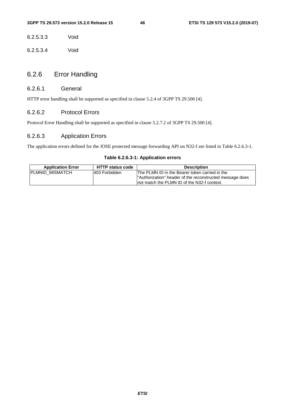6.2.5.3.3 Void

6.2.5.3.4 Void

# 6.2.6 Error Handling

#### 6.2.6.1 General

HTTP error handling shall be supported as specified in clause 5.2.4 of 3GPP TS 29.500 [4].

#### 6.2.6.2 Protocol Errors

Protocol Error Handling shall be supported as specified in clause 5.2.7.2 of 3GPP TS 29.500 [4].

### 6.2.6.3 Application Errors

The application errors defined for the JOSE protected message forwarding API on N32-f are listed in Table 6.2.6.3-1.

#### **Table 6.2.6.3-1: Application errors**

| <b>Application Error</b> | <b>HTTP status code</b> | <b>Description</b>                                                                                                                                          |
|--------------------------|-------------------------|-------------------------------------------------------------------------------------------------------------------------------------------------------------|
| PLMNID MISMATCH          | 1403 Forbidden          | IThe PLMN ID in the Bearer token carried in the<br>"Authorization" header of the reconstructed message does<br>Inot match the PLMN ID of the N32-f context. |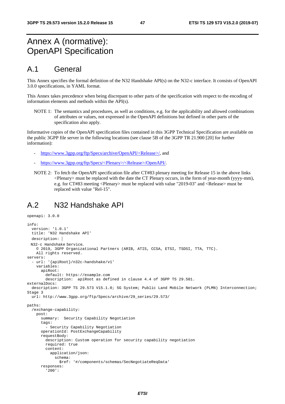# Annex A (normative): OpenAPI Specification

# A.1 General

This Annex specifies the formal definition of the N32 Handshake API(s) on the N32-c interface. It consists of OpenAPI 3.0.0 specifications, in YAML format.

This Annex takes precedence when being discrepant to other parts of the specification with respect to the encoding of information elements and methods within the API(s).

NOTE 1: The semantics and procedures, as well as conditions, e.g. for the applicability and allowed combinations of attributes or values, not expressed in the OpenAPI definitions but defined in other parts of the specification also apply.

Informative copies of the OpenAPI specification files contained in this 3GPP Technical Specification are available on the public 3GPP file server in the following locations (see clause 5B of the 3GPP TR 21.900 [20] for further information):

- [https://www.3gpp.org/ftp/Specs/archive/OpenAPI/<Release>/](https://www.3gpp.org/ftp/Specs/archive/OpenAPI/%3cRelease%3e/), and
- [https://www.3gpp.org/ftp/Specs/<Plenary>/<Release>/OpenAPI/.](https://www.3gpp.org/ftp/Specs/%3cPlenary%3e/%3cRelease%3e/OpenAPI/)
- NOTE 2: To fetch the OpenAPI specification file after CT#83 plenary meeting for Release 15 in the above links  $\leq$ Plenary $>$  must be replaced with the date the CT Plenary occurs, in the form of year-month (yyyy-mm), e.g. for CT#83 meeting <Plenary> must be replaced with value "2019-03" and <Release> must be replaced with value "Rel-15".

# A.2 N32 Handshake API

openapi: 3.0.0

```
info: 
   version: '1.0.1' 
   title: 'N32 Handshake API' 
  description: | 
  N32-c Handshake Service. © 2019, 3GPP Organizational Partners (ARIB, ATIS, CCSA, ETSI, TSDSI, TTA, TTC). 
     All rights reserved. 
servers: 
   - url: '{apiRoot}/n32c-handshake/v1' 
     variables: 
       apiRoot: 
         default: https://example.com 
         description: apiRoot as defined in clause 4.4 of 3GPP TS 29.501. 
externalDocs: 
   description: 3GPP TS 29.573 V15.1.0; 5G System; Public Land Mobile Network (PLMN) Interconnection; 
Stage 3
   url: http://www.3gpp.org/ftp/Specs/archive/29_series/29.573/ 
paths: 
   /exchange-capability: 
     post: 
       summary: Security Capability Negotiation 
       tags: 
         - Security Capability Negotiation 
       operationId: PostExchangeCapability 
       requestBody: 
         description: Custom operation for security capability negotiation 
         required: true 
         content: 
           application/json: 
              schema: 
                $ref: '#/components/schemas/SecNegotiateReqData' 
       responses: 
          '200':
```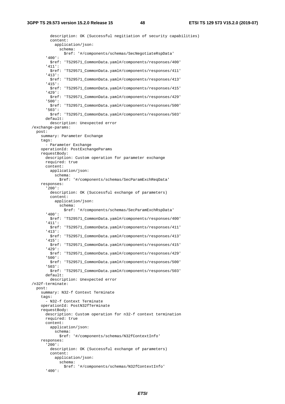description: OK (Successful negitiation of security capabilities) content: application/json: schema: \$ref: '#/components/schemas/SecNegotiateRspData' '400': \$ref: 'TS29571\_CommonData.yaml#/components/responses/400' '411': \$ref: 'TS29571\_CommonData.yaml#/components/responses/411' '413': \$ref: 'TS29571\_CommonData.yaml#/components/responses/413' '415': \$ref: 'TS29571\_CommonData.yaml#/components/responses/415' '429': \$ref: 'TS29571\_CommonData.yaml#/components/responses/429' '500': \$ref: 'TS29571\_CommonData.yaml#/components/responses/500' '503': \$ref: 'TS29571\_CommonData.yaml#/components/responses/503' default: description: Unexpected error /exchange-params: post: summary: Parameter Exchange tags: - Parameter Exchange operationId: PostExchangeParams requestBody: description: Custom operation for parameter exchange required: true content: application/json: schema: \$ref: '#/components/schemas/SecParamExchReqData' responses: '200': description: OK (Successful exchange of parameters) content: application/json: schema: \$ref: '#/components/schemas/SecParamExchRspData' '400': \$ref: 'TS29571\_CommonData.yaml#/components/responses/400' '411': \$ref: 'TS29571\_CommonData.yaml#/components/responses/411' '413': \$ref: 'TS29571\_CommonData.yaml#/components/responses/413' '415': \$ref: 'TS29571\_CommonData.yaml#/components/responses/415' '429': \$ref: 'TS29571\_CommonData.yaml#/components/responses/429' '500': \$ref: 'TS29571\_CommonData.yaml#/components/responses/500' '503': \$ref: 'TS29571\_CommonData.yaml#/components/responses/503' default: description: Unexpected error /n32f-terminate: post: summary: N32-f Context Terminate tags: - N32-f Context Terminate operationId: PostN32fTerminate requestBody: description: Custom operation for n32-f context termination required: true content: application/json: schema: \$ref: '#/components/schemas/N32fContextInfo' responses: '200': description: OK (Successful exchange of parameters) content: application/json: schema: \$ref: '#/components/schemas/N32fContextInfo' '400':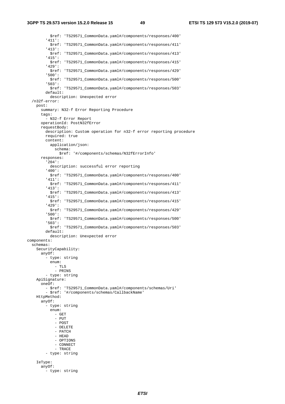\$ref: 'TS29571\_CommonData.yaml#/components/responses/400' '411': \$ref: 'TS29571\_CommonData.yaml#/components/responses/411' '413': \$ref: 'TS29571\_CommonData.yaml#/components/responses/413' '415': \$ref: 'TS29571\_CommonData.yaml#/components/responses/415' '429': \$ref: 'TS29571\_CommonData.yaml#/components/responses/429' '500': \$ref: 'TS29571\_CommonData.yaml#/components/responses/500' '503': \$ref: 'TS29571\_CommonData.yaml#/components/responses/503' default: description: Unexpected error /n32f-error: post: summary: N32-f Error Reporting Procedure tags: - N32-f Error Report operationId: PostN32fError requestBody: description: Custom operation for n32-f error reporting procedure required: true content: application/json: schema: \$ref: '#/components/schemas/N32fErrorInfo' responses: '204': description: successful error reporting '400': \$ref: 'TS29571\_CommonData.yaml#/components/responses/400' '411': \$ref: 'TS29571\_CommonData.yaml#/components/responses/411' '413': \$ref: 'TS29571\_CommonData.yaml#/components/responses/413' '415': \$ref: 'TS29571\_CommonData.yaml#/components/responses/415' '429': \$ref: 'TS29571\_CommonData.yaml#/components/responses/429' '500': \$ref: 'TS29571\_CommonData.yaml#/components/responses/500' '503': \$ref: 'TS29571\_CommonData.yaml#/components/responses/503' default: description: Unexpected error components: schemas: SecurityCapability: anyOf: - type: string enum: - TLS - PRINS - type: string ApiSignature: oneOf: - \$ref: 'TS29571\_CommonData.yaml#/components/schemas/Uri' - \$ref: '#/components/schemas/CallbackName' HttpMethod: anyOf: - type: string enum:  $-$  GET - PUT - POST - DELETE - PATCH - HEAD - OPTIONS - CONNECT - TRACE - type: string IeType: anyOf: - type: string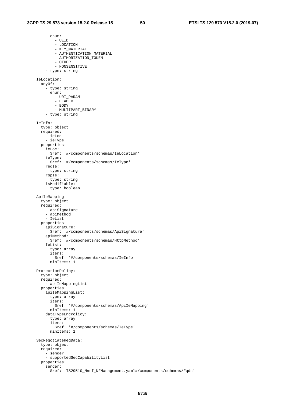enum: - UEID - LOCATION - KEY\_MATERIAL - AUTHENTICATION\_MATERIAL - AUTHORIZATION\_TOKEN - OTHER - NONSENSITIVE - type: string IeLocation: anyOf: - type: string enum: - URI\_PARAM - HEADER - BODY - MULTIPART\_BINARY - type: string IeInfo: type: object required: - ieLoc - ieType properties: ieLoc: \$ref: '#/components/schemas/IeLocation' ieType: \$ref: '#/components/schemas/IeType' reqIe: type: string rspIe: type: string isModifiable: type: boolean ApiIeMapping: type: object required: - apiSignature - apiMethod - IeList properties: apiSignature: \$ref: '#/components/schemas/ApiSignature' apiMethod: \$ref: '#/components/schemas/HttpMethod' IeList: type: array items: \$ref: '#/components/schemas/IeInfo' minItems: 1 ProtectionPolicy: type: object required: - apiIeMappingList properties: apiIeMappingList: type: array items: \$ref: '#/components/schemas/ApiIeMapping' minItems: 1 dataTypeEncPolicy: type: array items: \$ref: '#/components/schemas/IeType' minItems: 1 SecNegotiateReqData: type: object required: - sender - supportedSecCapabilityList properties: sender: \$ref: 'TS29510\_Nnrf\_NFManagement.yaml#/components/schemas/Fqdn'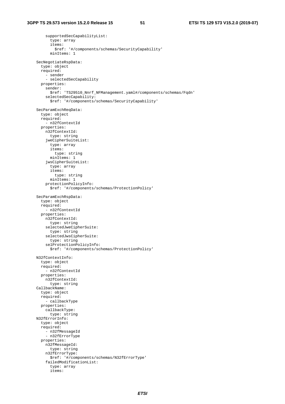supportedSecCapabilityList: type: array items: \$ref: '#/components/schemas/SecurityCapability' minItems: 1 SecNegotiateRspData: type: object required: - sender - selectedSecCapability properties: sender: \$ref: 'TS29510\_Nnrf\_NFManagement.yaml#/components/schemas/Fqdn' selectedSecCapability: \$ref: '#/components/schemas/SecurityCapability' SecParamExchReqData: type: object required:  $-$  n32fContextId properties: n32fContextId: type: string jweCipherSuiteList: type: array items: type: string minItems: 1 jwsCipherSuiteList: type: array items: type: string minItems: 1 protectionPolicyInfo: \$ref: '#/components/schemas/ProtectionPolicy' SecParamExchRspData: type: object required: - n32fContextId properties: n32fContextId: type: string selectedJweCipherSuite: type: string selectedJwsCipherSuite: type: string selProtectionPolicyInfo: \$ref: '#/components/schemas/ProtectionPolicy' N32fContextInfo: type: object required: - n32fContextId properties: n32fContextId: type: string CallbackName: type: object required: - callbackType properties: callbackType: type: string N32fErrorInfo: type: object required: -<br>- n32fMessageId - n32fErrorType properties: n32fMessageId: type: string n32fErrorType: \$ref: '#/components/schemas/N32fErrorType' failedModificationList: type: array items: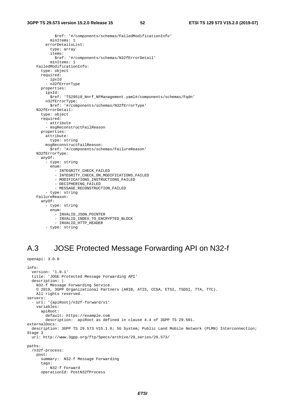```
 $ref: '#/components/schemas/FailedModificationInfo' 
       minItems: 1 
     errorDetailsList: 
       type: array 
       items: 
          $ref: '#/components/schemas/N32fErrorDetail' 
       minItems: 1 
 FailedModificationInfo: 
   type: object 
   required: 
     - ipxId 
     - n32fErrorType 
   properties: 
     ipxId: 
       $ref: 'TS29510_Nnrf_NFManagement.yaml#/components/schemas/Fqdn' 
     n32fErrorType: 
       $ref: '#/components/schemas/N32fErrorType' 
 N32fErrorDetail: 
   type: object 
   required: 
     - attribute 
     - msgReconstructFailReason 
   properties: 
     attribute: 
       type: string 
     msgReconstructFailReason: 
       $ref: '#/components/schemas/FailureReason' 
 N32fErrorType: 
   anyOf: 
     - type: string 
       enum: 
         - INTEGRITY_CHECK_FAILED 
         - INTEGRITY_CHECK_ON_MODIFICATIONS_FAILED
        - MODIFICATIONS INSTRUCTIONS FAILED
         - DECIPHERING_FAILED 
          - MESSAGE_RECONSTRUCTION_FAILED 
     - type: string 
 FailureReason: 
   anyOf: 
     - type: string 
       enum: 
         - INVALID_JSON_POINTER 
         - INVALID_INDEX_TO_ENCRYPTED BLOCK
         - INVALID_HTTP_HEADER 
     - type: string
```
# A.3 JOSE Protected Message Forwarding API on N32-f

```
openapi: 3.0.0 
info: 
   version: '1.0.1' 
   title: 'JOSE Protected Message Forwarding API' 
   description: | 
     N32-f Message Forwarding Service. 
     © 2019, 3GPP Organizational Partners (ARIB, ATIS, CCSA, ETSI, TSDSI, TTA, TTC). 
     All rights reserved. 
servers: 
   - url: '{apiRoot}/n32f-forward/v1' 
     variables: 
       apiRoot: 
         default: https://example.com 
         description: apiRoot as defined in clause 4.4 of 3GPP TS 29.501. 
externalDocs: 
   description: 3GPP TS 29.573 V15.1.0; 5G System; Public Land Mobile Network (PLMN) Interconnection; 
Stage 3
   url: http://www.3gpp.org/ftp/Specs/archive/29_series/29.573/ 
paths: 
   /n32f-process: 
    post: 
       summary: N32-f Message Forwarding 
       tags: 
         - N32-f Forward 
       operationId: PostN32fProcess
```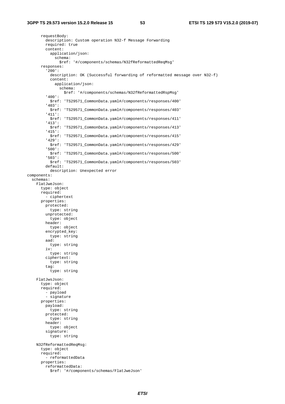#### **3GPP TS 29.573 version 15.2.0 Release 15 53 ETSI TS 129 573 V15.2.0 (2019-07)**

 requestBody: description: Custom operation N32-f Message Forwarding required: true content: application/json: schema: \$ref: '#/components/schemas/N32fReformattedReqMsg' responses: '200': description: OK (Successful forwarding of reformatted message over N32-f) content: application/json: schema: \$ref: '#/components/schemas/N32fReformattedRspMsg' '400': \$ref: 'TS29571\_CommonData.yaml#/components/responses/400' '403': \$ref: 'TS29571\_CommonData.yaml#/components/responses/403' '411': \$ref: 'TS29571\_CommonData.yaml#/components/responses/411' '413': \$ref: 'TS29571\_CommonData.yaml#/components/responses/413' '415': \$ref: 'TS29571\_CommonData.yaml#/components/responses/415' '429': \$ref: 'TS29571\_CommonData.yaml#/components/responses/429' '500': \$ref: 'TS29571\_CommonData.yaml#/components/responses/500' '503': \$ref: 'TS29571\_CommonData.yaml#/components/responses/503' default: description: Unexpected error components: schemas: FlatJweJson: type: object required: - ciphertext properties: protected: type: string unprotected: type: object header: type: object encrypted\_key: type: string aad: type: string iv: type: string ciphertext: type: string tag: type: string FlatJwsJson: type: object required: - payload - signature properties: payload: type: string protected: type: string header: type: object signature: type: string N32fReformattedReqMsg: type: object required: - reformattedData properties: reformattedData: \$ref: '#/components/schemas/FlatJweJson'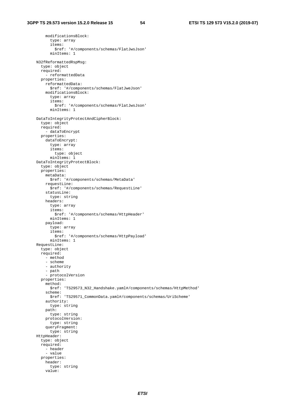modificationsBlock: type: array items: \$ref: '#/components/schemas/FlatJwsJson' minItems: 1 N32fReformattedRspMsg: type: object required: - reformattedData properties: reformattedData: \$ref: '#/components/schemas/FlatJweJson' modificationsBlock: type: array items: \$ref: '#/components/schemas/FlatJwsJson' minItems: 1 DataToIntegrityProtectAndCipherBlock: type: object required: - dataToEncrypt properties: dataToEncrypt: type: array items: type: object minItems: 1 DataToIntegrityProtectBlock: type: object properties: metaData: \$ref: '#/components/schemas/MetaData' requestLine: \$ref: '#/components/schemas/RequestLine' statusLine: type: string headers: type: array items: \$ref: '#/components/schemas/HttpHeader' minItems: 1 payload: type: array items: \$ref: '#/components/schemas/HttpPayload' minItems: 1 RequestLine: type: object required: - method - scheme - authority - path - protocolVersion properties: method: \$ref: 'TS29573\_N32\_Handshake.yaml#/components/schemas/HttpMethod' scheme: \$ref: 'TS29571\_CommonData.yaml#/components/schemas/UriScheme' authority: type: string path: type: string protocolVersion: type: string queryFragment: type: string HttpHeader: type: object required: - header - value properties: header: type: string value: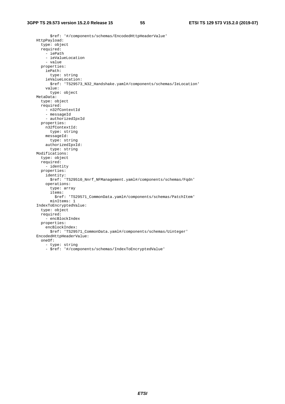#### **3GPP TS 29.573 version 15.2.0 Release 15 55 ETSI TS 129 573 V15.2.0 (2019-07)**

 \$ref: '#/components/schemas/EncodedHttpHeaderValue' HttpPayload: type: object required: - iePath - ieValueLocation - value properties: iePath: type: string ieValueLocation: \$ref: 'TS29573\_N32\_Handshake.yaml#/components/schemas/IeLocation' value: type: object MetaData: type: object required: - n32fContextId - messageId - authorizedIpxId properties: n32fContextId: type: string messageId: type: string authorizedIpxId: type: string Modifications: type: object required: - identity properties: identity: \$ref: 'TS29510\_Nnrf\_NFManagement.yaml#/components/schemas/Fqdn' operations: type: array items: \$ref: 'TS29571\_CommonData.yaml#/components/schemas/PatchItem' minItems: 1 IndexToEncryptedValue: type: object required: - encBlockIndex properties: encBlockIndex: \$ref: 'TS29571\_CommonData.yaml#/components/schemas/Uinteger' EncodedHttpHeaderValue: oneOf: - type: string - \$ref: '#/components/schemas/IndexToEncryptedValue'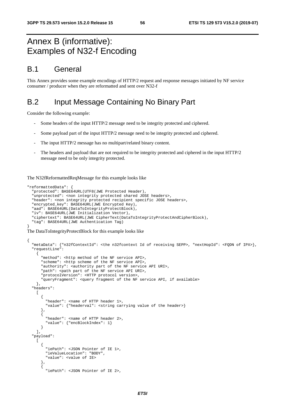# Annex B (informative): Examples of N32-f Encoding

# B.1 General

This Annex provides some example encodings of HTTP/2 request and response messages initiated by NF service consumer / producer when they are reformatted and sent over N32-f

# B.2 Input Message Containing No Binary Part

Consider the following example:

- Some headers of the input HTTP/2 message need to be integrity protected and ciphered.
- Some payload part of the input HTTP/2 message need to be integrity protected and ciphered.
- The input HTTP/2 message has no multipart/related binary content.
- The headers and payload that are not required to be integrity protected and ciphered in the input HTTP/2 message need to be only integrity protected.

The N32fReformattedReqMessage for this example looks like

```
"reformattedData": { 
   "protected": BASE64URL(UTF8(JWE Protected Header), 
  "unprotected": < non integrity protected shared JOSE headers>,
   "header": <non integrity protected recipient specific JOSE headers>, 
   "encrypted_key": BASE64URL(JWE Encrypted Key), 
   "aad": BASE64URL(DataToIntegrityProtectBlock), 
   "iv": BASE64URL(JWE Initialization Vector), 
   "ciphertext": BASE64URL(JWE CipherText(DataToIntegrityProtectAndCipherBlock), 
   "tag": BASE64URL(JWE Authentication Tag) 
} 
The DataToIntegrityProtectBlock for this example looks like 
{ 
   "metaData": {"n32fContextId": <the n32fcontext Id of receiving SEPP>, "nextHopId": <FQDN of IPX>}, 
   "requestLine": 
     { 
       "method": <http method of the NF service API>, 
       "scheme": <http scheme of the NF service API>, 
       "authority": <authority part of the NF service API URI>, 
      "path": <path part of the NF service API URI>,
       "protocolVersion": <HTTP protocol version>, 
       "queryFragment": <query fragment of the NF service API, if available> 
     }, 
   "headers": 
    \Box { 
         "header": < name of HTTP header 1>,
          "value": {"headerval": <string carrying value of the header>} 
       }, 
\left\{\begin{array}{ccc} \end{array}\right\} "header": <name of HTTP header 2>, 
 "value": {"encBlockIndex": 1} 
       } 
     ], 
   "payload": 
    \Gamma { 
          "iePath": <JSON Pointer of IE 1>, 
          "ieValueLocation": "BODY", 
          "value": <value of IE> 
       }, 
\left\{\begin{array}{ccc} \end{array}\right\} "iePath": <JSON Pointer of IE 2>,
```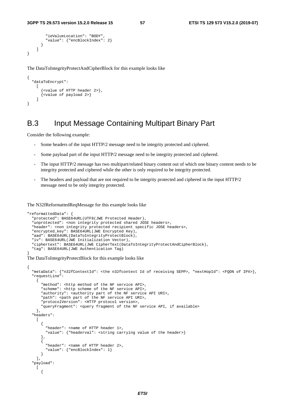```
 "ieValueLocation": "BODY", 
          "value": {"encBlockIndex": 2} 
       } 
     ] 
}
```
The DataToIntegrityProtectAndCipherBlock for this example looks like

```
{ 
   "dataToEncrypt": 
    \Gamma {<value of HTTP header 2>}, 
        {<value of payload 2>} 
     ] 
}
```
# B.3 Input Message Containing Multipart Binary Part

Consider the following example:

- Some headers of the input HTTP/2 message need to be integrity protected and ciphered.
- Some payload part of the input HTTP/2 message need to be integrity protected and ciphered.
- The input HTTP/2 message has two multipart/related binary content out of which one binary content needs to be integrity protected and ciphered while the other is only required to be integrity protected.
- The headers and payload that are not required to be integrity protected and ciphered in the input HTTP/2 message need to be only integrity protected.

The N32fReformattedReqMessage for this example looks like

```
"reformattedData": { 
   "protected": BASE64URL(UTF8(JWE Protected Header), 
   "unprotected": <non integrity protected shared JOSE headers>, 
 "header": <non integrity protected recipient specific JOSE headers>,
   "encrypted_key": BASE64URL(JWE Encrypted Key), 
   "aad": BASE64URL(DataToIntegrityProtectBlock), 
   "iv": BASE64URL(JWE Initialization Vector), 
   "ciphertext": BASE64URL(JWE CipherText(DataToIntegrityProtectAndCipherBlock), 
  "tag": BASE64URL(JWE Authentication Tag) 
}
```
The DataToIntegrityProtectBlock for this example looks like

```
{ 
    "metaData": {"n32fContextId": <the n32fcontext Id of receiving SEPP>, "nextHopId": <FQDN of IPX>}, 
    "requestLine": 
       { 
          "method": <http method of the NF service API>, 
          "scheme": <http scheme of the NF service API>, 
          "authority": <authority part of the NF service API URI>, 
         "path": <path part of the NF service API URI>,
          "protocolVersion": <HTTP protocol version>, 
          "queryFragment": <query fragment of the NF service API, if available> 
       }, 
    "headers": 
      \Gamma { 
            "header": < name of HTTP header 1>,
             "value": {"headerval": <string carrying value of the header>} 
          }, 
\left\{ \begin{array}{ccc} 0 & 0 & 0 \\ 0 & 0 & 0 \\ 0 & 0 & 0 \\ 0 & 0 & 0 \\ 0 & 0 & 0 \\ 0 & 0 & 0 \\ 0 & 0 & 0 \\ 0 & 0 & 0 \\ 0 & 0 & 0 \\ 0 & 0 & 0 \\ 0 & 0 & 0 \\ 0 & 0 & 0 \\ 0 & 0 & 0 \\ 0 & 0 & 0 & 0 \\ 0 & 0 & 0 & 0 \\ 0 & 0 & 0 & 0 \\ 0 & 0 & 0 & 0 \\ 0 & 0 & 0 & 0 & 0 \\ 0 & 0 & 0 & 0 & 0 \\ 0 & 0 & 0 & 0 & 0"header": < name of HTTP header 2>,
             "value": {"encBlockIndex": 1} 
          } 
       ], 
    "payload": 
       [ 
          {
```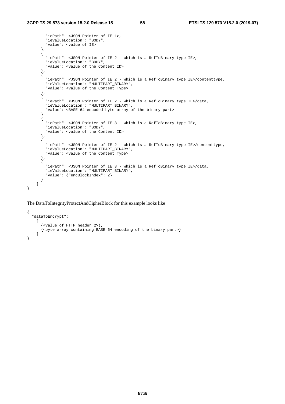```
 "iePath": <JSON Pointer of IE 1>, 
          "ieValueLocation": "BODY", 
          "value": <value of IE> 
        }, 
        { 
          "iePath": <JSON Pointer of IE 2 - which is a RefToBinary type IE>, 
          "ieValueLocation": "BODY", 
          "value": <value of the Content ID> 
        }, 
        { 
          "iePath": <JSON Pointer of IE 2 - which is a RefToBinary type IE>/contenttype, 
          "ieValueLocation": "MULTIPART_BINARY", 
          "value": <value of the Content Type> 
        }, 
\left\{\begin{array}{ccc} \end{array}\right\} "iePath": <JSON Pointer of IE 2 - which is a RefToBinary type IE>/data, 
          "ieValueLocation": "MULTIPART_BINARY", 
          "value": <BASE 64 encoded byte array of the binary part> 
 } 
\left\{\begin{array}{ccc} \end{array}\right\} "iePath": <JSON Pointer of IE 3 - which is a RefToBinary type IE>, 
          "ieValueLocation": "BODY", 
          "value": <value of the Content ID> 
        }, 
\left\{ \begin{array}{ccc} 1 & 1 \\ 1 & 1 \end{array} \right\} "iePath": <JSON Pointer of IE 2 - which is a RefToBinary type IE>/contenttype, 
          "ieValueLocation": "MULTIPART_BINARY", 
          "value": <value of the Content Type> 
        }, 
\left\{ \begin{array}{ccc} 1 & 1 \\ 1 & 1 \end{array} \right\} "iePath": <JSON Pointer of IE 3 - which is a RefToBinary type IE>/data, 
          "ieValueLocation": "MULTIPART_BINARY", 
          "value": {"encBlockIndex": 2} 
       } 
     ]
```
The DataToIntegrityProtectAndCipherBlock for this example looks like

}

```
{ 
   "dataToEncrypt": 
    \lceil {<value of HTTP header 2>}, 
       \cos \theta <br/>byte array containing BASE 64 encoding of the binary part>}
      ] 
}
```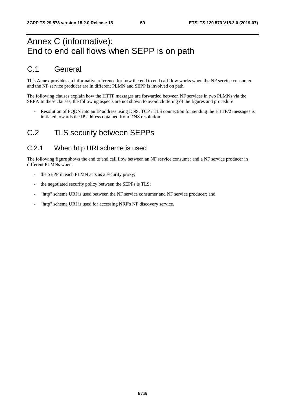# Annex C (informative): End to end call flows when SEPP is on path

# C.1 General

This Annex provides an informative reference for how the end to end call flow works when the NF service consumer and the NF service producer are in different PLMN and SEPP is involved on path.

The following clauses explain how the HTTP messages are forwarded between NF services in two PLMNs via the SEPP. In these clauses, the following aspects are not shown to avoid cluttering of the figures and procedure

Resolution of FQDN into an IP address using DNS. TCP / TLS connection for sending the HTTP/2 messages is initiated towards the IP address obtained from DNS resolution.

# C.2 TLS security between SEPPs

# C.2.1 When http URI scheme is used

The following figure shows the end to end call flow between an NF service consumer and a NF service producer in different PLMNs when:

- the SEPP in each PLMN acts as a security proxy;
- the negotiated security policy between the SEPPs is TLS;
- "http" scheme URI is used between the NF service consumer and NF service producer; and
- "http" scheme URI is used for accessing NRF's NF discovery service.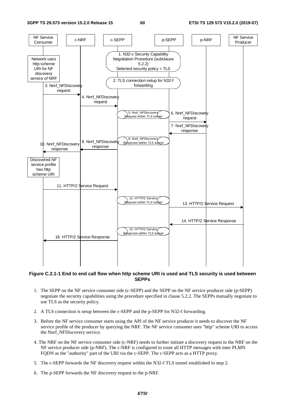

#### **Figure C.2.1-1 End to end call flow when http scheme URI is used and TLS security is used between SEPPs**

- 1. The SEPP on the NF service consumer side (c-SEPP) and the SEPP on the NF service producer side (p-SEPP) negotiate the security capabilities using the procedure specified in clause 5.2.2. The SEPPs mutually negotiate to use TLS as the security policy.
- 2. A TLS connection is setup between the c-SEPP and the p-SEPP for N32-f forwarding.
- 3. Before the NF service consumer starts using the API of the NF service producer it needs to discover the NF service profile of the producer by querying the NRF. The NF service consumer uses "http" scheme URI to access the Nnrf\_NFDiscovery service.
- 4. The NRF on the NF service consumer side (c-NRF) needs to further initiate a discovery request to the NRF on the NF service producer side (p-NRF). The c-NRF is configured to route all HTTP messages with inter PLMN FQDN as the "authority" part of the URI via the c-SEPP. The c-SEPP acts as a HTTP proxy.
- 5. The c-SEPP forwards the NF discovery request within the N32-f TLS tunnel established in step 2.
- 6. The p-SEPP forwards the NF discovery request to the p-NRF.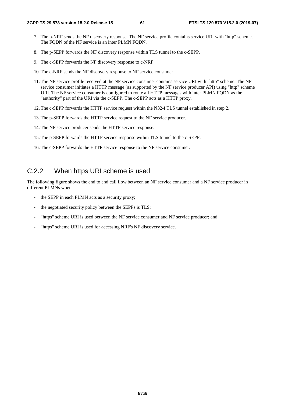- 7. The p-NRF sends the NF discovery response. The NF service profile contains service URI with "http" scheme. The FQDN of the NF service is an inter PLMN FQDN.
- 8. The p-SEPP forwards the NF discovery response within TLS tunnel to the c-SEPP.
- 9. The c-SEPP forwards the NF discovery response to c-NRF.
- 10. The c-NRF sends the NF discovery response to NF service consumer.
- 11. The NF service profile received at the NF service consumer contains service URI with "http" scheme. The NF service consumer initiates a HTTP message (as supported by the NF service producer API) using "http" scheme URI. The NF service consumer is configured to route all HTTP messages with inter PLMN FQDN as the "authority" part of the URI via the c-SEPP. The c-SEPP acts as a HTTP proxy.
- 12. The c-SEPP forwards the HTTP service request within the N32-f TLS tunnel established in step 2.
- 13. The p-SEPP forwards the HTTP service request to the NF service producer.
- 14. The NF service producer sends the HTTP service response.
- 15. The p-SEPP forwards the HTTP service response within TLS tunnel to the c-SEPP.
- 16. The c-SEPP forwards the HTTP service response to the NF service consumer.

# C.2.2 When https URI scheme is used

The following figure shows the end to end call flow between an NF service consumer and a NF service producer in different PLMNs when:

- the SEPP in each PLMN acts as a security proxy;
- the negotiated security policy between the SEPPs is TLS;
- "https" scheme URI is used between the NF service consumer and NF service producer; and
- "https" scheme URI is used for accessing NRF's NF discovery service.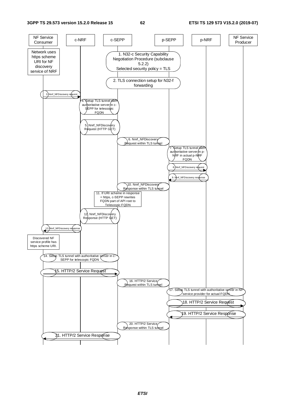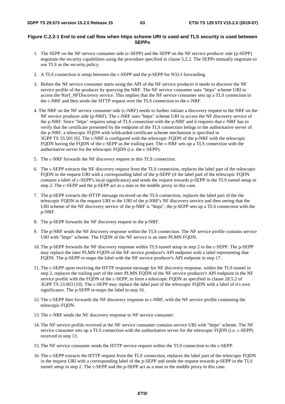#### **Figure C.2.2-1 End to end call flow when https scheme URI is used and TLS security is used between SEPPs**

- 1. The SEPP on the NF service consumer side (c-SEPP) and the SEPP on the NF service producer side (p-SEPP) negotiate the security capabilities using the procedure specified in clause 5.2.2. The SEPPs mutually negotiate to use TLS as the security policy.
- 2. A TLS connection is setup between the c-SEPP and the p-SEPP for N32-f forwarding.
- 3. Before the NF service consumer starts using the API of the NF service producer it needs to discover the NF service profile of the producer by querying the NRF. The NF service consumer uses "https" scheme URI to access the Nnrf\_NFDiscovery service. This implies that the NF service consumer sets up a TLS connection to the c-NRF and then sends the HTTP request over the TLS connection to the c-NRF.
- 4. The NRF on the NF service consumer side (c-NRF) needs to further initiate a discovery request to the NRF on the NF service producer side (p-NRF). The c-NRF uses "https" scheme URI to access the NF discovery service of the p-NRF. Since "https" requires setup of TLS connection with the p-NRF and it requires that c-NRF has to verify that the certificate presented by the endpoint of the TLS connection belngs to the authoritative server of the p-NRF, a telescopic FQDN with wildcarded certificate scheme mechanism is specified in 3GPP TS 33.501 [6]. The c-NRF is configured with the telescopic FQDN of the p-NRF with the telescopic FQDN having the FQDN of the c-SEPP as the trailing part. The c-NRF sets up a TLS connection with the authoritative server for the telescopic FQDN (i.e. the c-SEPP).
- 5. The c-NRF forwards the NF discovery request in this TLS connection.
- 6. The c-SEPP extracts the NF discovery request from the TLS connection, replaces the label part of the telescopic FQDN in the request URI with a corresponding label of the p-SEPP (if the label part of the telescopic FQDN contains a label of c-SEPP's local significance) and sends the request towards p-SEPP in the TLS tunnel setup in step 2. The c-SEPP and the p-SEPP act as a man in the middle proxy in this case.
- 7. The p-SEPP extracts the HTTP message received on the TLS connection, replaces the label part of the the telescopic FQDN in the request URI to the URI of the p-NRF's NF discovery service and then seeing that the URI scheme of the NF discovery service of the p-NRF is "https", the p-SEPP sets up a TLS connection with the p-NRF.
- 8. The p-SEPP forwards the NF discovery request to the p-NRF.
- 9. The p-NRF sends the NF discovery response within the TLS connection. The NF service profile contains service URI with "https" scheme. The FQDN of the NF service is an inter PLMN FQDN.
- 10. The p-SEPP forwards the NF discovery response within TLS tunnel setup in step 2 to the c-SEPP. The p-SEPP may replace the inter PLMN FQDN of the NF service producer's API endpoint with a label representing that FQDN. The p-SEPP re-maps the label with the NF service producer's API endpoint in step 17.
- 11. The c-SEPP upon receiving the HTTP response message for NF discovery response, within the TLS tunnel in step 2, replaces the trailing part of the inter PLMN FQDN of the NF service producer's API endpoint in the NF service profile with the FQDN of the c-SEPP, to form a telescopic FQDN as specified in clause 28.5.2 of 3GPP TS 23.003 [19]. The c-SEPP may replace the label part of the telescopic FQDN with a label of it's own significance. The p-SEPP re-maps the label in step 16.
- 12. The c-SEPP then forwards the NF discovery response to c-NRF, with the NF service profile containing the telescopic FQDN.
- 13. The c-NRF sends the NF discovery response to NF service consumer.
- 14. The NF service profile received at the NF service consumer contains service URI with "https" scheme. The NF service consumer sets up a TLS connection with the authoritative server for the telescopic FQDN (i.e. c-SEPP) received in step 13.
- 15. The NF service consumer sends the HTTP service request within the TLS connection to the c-SEPP.
- 16. The c-SEPP extracts the HTTP request from the TLS connection, replaces the label part of the telescopic FQDN in the request URI with a corresponding label of the p-SEPP and sends the request towards p-SEPP in the TLS tunnel setup in step 2. The c-SEPP and the p-SEPP act as a man in the middle proxy in this case.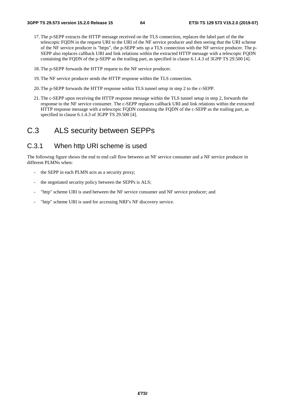- 17. The p-SEPP extracts the HTTP message received on the TLS connection, replaces the label part of the the telescopic FQDN in the request URI to the URI of the NF service producer and then seeing that the URI scheme of the NF service producer is "https", the p-SEPP sets up a TLS connection with the NF service producer. The p-SEPP also replaces callback URI and link relations within the extracted HTTP message with a telescopic FQDN containing the FQDN of the p-SEPP as the trailing part, as specified in clause 6.1.4.3 of 3GPP TS 29.500 [4].
- 18. The p-SEPP forwards the HTTP request to the NF service producer.
- 19. The NF service producer sends the HTTP response within the TLS connection.
- 20. The p-SEPP forwards the HTTP response within TLS tunnel setup in step 2 to the c-SEPP.
- 21. The c-SEPP upon receiving the HTTP response message within the TLS tunnel setup in step 2, forwards the response to the NF service consumer. The c-SEPP replaces callback URI and link relations within the extracted HTTP response message with a telescopic FQDN containing the FQDN of the c-SEPP as the trailing part, as specified in clause 6.1.4.3 of 3GPP TS 29.500 [4].

# C.3 ALS security between SEPPs

# C.3.1 When http URI scheme is used

The following figure shows the end to end call flow between an NF service consumer and a NF service producer in different PLMNs when:

- the SEPP in each PLMN acts as a security proxy:
- the negotiated security policy between the SEPPs is ALS;
- "http" scheme URI is used between the NF service consumer and NF service producer; and
- "http" scheme URI is used for accessing NRF's NF discovery service.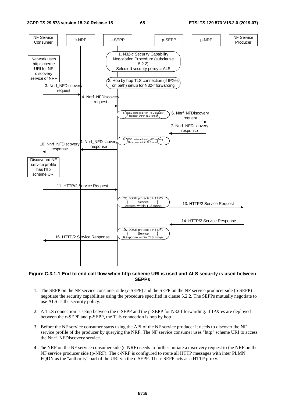

#### **Figure C.3.1-1 End to end call flow when http scheme URI is used and ALS security is used between SEPPs**

- 1. The SEPP on the NF service consumer side (c-SEPP) and the SEPP on the NF service producer side (p-SEPP) negotiate the security capabilities using the procedure specified in clause 5.2.2. The SEPPs mutually negotiate to use ALS as the security policy.
- 2. A TLS connection is setup between the c-SEPP and the p-SEPP for N32-f forwarding. If IPX-es are deployed between the c-SEPP and p-SEPP, the TLS connection is hop by hop.
- 3. Before the NF service consumer starts using the API of the NF service producer it needs to discover the NF service profile of the producer by querying the NRF. The NF service consumer uses "http" scheme URI to access the Nnrf\_NFDiscovery service.
- 4. The NRF on the NF service consumer side (c-NRF) needs to further initiate a discovery request to the NRF on the NF service producer side (p-NRF). The c-NRF is configured to route all HTTP messages with inter PLMN FQDN as the "authority" part of the URI via the c-SEPP. The c-SEPP acts as a HTTP proxy.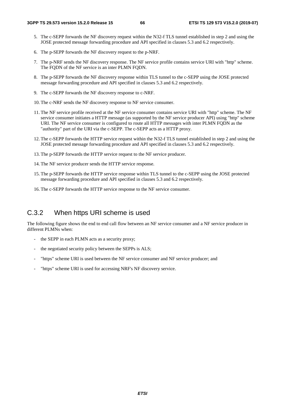- 5. The c-SEPP forwards the NF discovery request within the N32-f TLS tunnel established in step 2 and using the JOSE protected message forwarding procedure and API specified in clauses 5.3 and 6.2 respectively.
- 6. The p-SEPP forwards the NF discovery request to the p-NRF.
- 7. The p-NRF sends the NF discovery response. The NF service profile contains service URI with "http" scheme. The FQDN of the NF service is an inter PLMN FQDN.
- 8. The p-SEPP forwards the NF discovery response within TLS tunnel to the c-SEPP using the JOSE protected message forwarding procedure and API specified in clauses 5.3 and 6.2 respectively.
- 9. The c-SEPP forwards the NF discovery response to c-NRF.
- 10. The c-NRF sends the NF discovery response to NF service consumer.
- 11. The NF service profile received at the NF service consumer contains service URI with "http" scheme. The NF service consumer initiates a HTTP message (as supported by the NF service producer API) using "http" scheme URI. The NF service consumer is configured to route all HTTP messages with inter PLMN FQDN as the "authority" part of the URI via the c-SEPP. The c-SEPP acts as a HTTP proxy.
- 12. The c-SEPP forwards the HTTP service request within the N32-f TLS tunnel established in step 2 and using the JOSE protected message forwarding procedure and API specified in clauses 5.3 and 6.2 respectively.
- 13. The p-SEPP forwards the HTTP service request to the NF service producer.
- 14. The NF service producer sends the HTTP service response.
- 15. The p-SEPP forwards the HTTP service response within TLS tunnel to the c-SEPP using the JOSE protected message forwarding procedure and API specified in clauses 5.3 and 6.2 respectively.
- 16. The c-SEPP forwards the HTTP service response to the NF service consumer.

# C.3.2 When https URI scheme is used

The following figure shows the end to end call flow between an NF service consumer and a NF service producer in different PLMNs when:

- the SEPP in each PLMN acts as a security proxy;
- the negotiated security policy between the SEPPs is ALS;
- "https" scheme URI is used between the NF service consumer and NF service producer; and
- "https" scheme URI is used for accessing NRF's NF discovery service.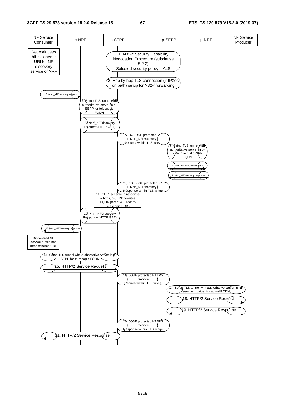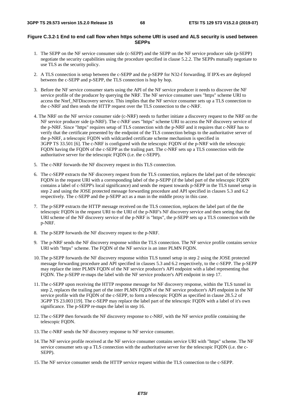#### **Figure C.3.2-1 End to end call flow when https scheme URI is used and ALS security is used between SEPPs**

- 1. The SEPP on the NF service consumer side (c-SEPP) and the SEPP on the NF service producer side (p-SEPP) negotiate the security capabilities using the procedure specified in clause 5.2.2. The SEPPs mutually negotiate to use TLS as the security policy.
- 2. A TLS connection is setup between the c-SEPP and the p-SEPP for N32-f forwarding. If IPX-es are deployed between the c-SEPP and p-SEPP, the TLS connection is hop by hop.
- 3. Before the NF service consumer starts using the API of the NF service producer it needs to discover the NF service profile of the producer by querying the NRF. The NF service consumer uses "https" scheme URI to access the Nnrf\_NFDiscovery service. This implies that the NF service consumer sets up a TLS connection to the c-NRF and then sends the HTTP request over the TLS connection to the c-NRF.
- 4. The NRF on the NF service consumer side (c-NRF) needs to further initiate a discovery request to the NRF on the NF service producer side (p-NRF). The c-NRF uses "https" scheme URI to access the NF discovery service of the p-NRF. Since "https" requires setup of TLS connection with the p-NRF and it requires that c-NRF has to verify that the certificate presented by the endpoint of the TLS connection belngs to the authoritative server of the p-NRF, a telescopic FQDN with wildcarded certificate scheme mechanism is specified in 3GPP TS 33.501 [6]. The c-NRF is configured with the telescopic FQDN of the p-NRF with the telescopic FQDN having the FQDN of the c-SEPP as the trailing part. The c-NRF sets up a TLS connection with the authoritative server for the telescopic FQDN (i.e. the c-SEPP).
- 5. The c-NRF forwards the NF discovery request in this TLS connection.
- 6. The c-SEPP extracts the NF discovery request from the TLS connection, replaces the label part of the telescopic FQDN in the request URI with a corresponding label of the p-SEPP (if the label part of the telescopic FQDN contains a label of c-SEPP's local significance) and sends the request towards p-SEPP in the TLS tunnel setup in step 2 and using the JOSE protected message forwarding procedure and API specified in clauses 5.3 and 6.2 respectively. The c-SEPP and the p-SEPP act as a man in the middle proxy in this case.
- 7. The p-SEPP extracts the HTTP message received on the TLS connection, replaces the label part of the the telescopic FQDN in the request URI to the URI of the p-NRF's NF discovery service and then seeing that the URI scheme of the NF discovery service of the p-NRF is "https", the p-SEPP sets up a TLS connection with the p-NRF.
- 8. The p-SEPP forwards the NF discovery request to the p-NRF.
- 9. The p-NRF sends the NF discovery response within the TLS connection. The NF service profile contains service URI with "https" scheme. The FQDN of the NF service is an inter PLMN FODN.
- 10. The p-SEPP forwards the NF discovery response within TLS tunnel setup in step 2 using the JOSE protected message forwarding procedure and API specified in clauses 5.3 and 6.2 respectively, to the c-SEPP. The p-SEPP may replace the inter PLMN FQDN of the NF service producer's API endpoint with a label representing that FQDN. The p-SEPP re-maps the label with the NF service producer's API endpoint in step 17.
- 11. The c-SEPP upon receiving the HTTP response message for NF discovery response, within the TLS tunnel in step 2, replaces the trailing part of the inter PLMN FQDN of the NF service producer's API endpoint in the NF service profile with the FQDN of the c-SEPP, to form a telescopic FQDN as specified in clause 28.5.2 of 3GPP TS 23.003 [19]. The c-SEPP may replace the label part of the telescopic FQDN with a label of it's own significance. The p-SEPP re-maps the label in step 16.
- 12. The c-SEPP then forwards the NF discovery response to c-NRF, with the NF service profile containing the telescopic FQDN.
- 13. The c-NRF sends the NF discovery response to NF service consumer.
- 14. The NF service profile received at the NF service consumer contains service URI with "https" scheme. The NF service consumer sets up a TLS connection with the authoritative server for the telescopic FQDN (i.e. the c-SEPP).
- 15. The NF service consumer sends the HTTP service request within the TLS connection to the c-SEPP.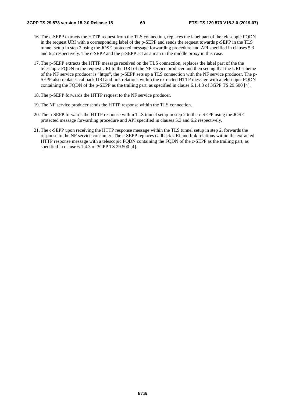- 16. The c-SEPP extracts the HTTP request from the TLS connection, replaces the label part of the telescopic FQDN in the request URI with a corresponding label of the p-SEPP and sends the request towards p-SEPP in the TLS tunnel setup in step 2 using the JOSE protected message forwarding procedure and API specified in clauses 5.3 and 6.2 respectively. The c-SEPP and the p-SEPP act as a man in the middle proxy in this case.
- 17. The p-SEPP extracts the HTTP message received on the TLS connection, replaces the label part of the the telescopic FQDN in the request URI to the URI of the NF service producer and then seeing that the URI scheme of the NF service producer is "https", the p-SEPP sets up a TLS connection with the NF service producer. The p-SEPP also replaces callback URI and link relations within the extracted HTTP message with a telescopic FQDN containing the FQDN of the p-SEPP as the trailing part, as specified in clause 6.1.4.3 of 3GPP TS 29.500 [4].
- 18. The p-SEPP forwards the HTTP request to the NF service producer.
- 19. The NF service producer sends the HTTP response within the TLS connection.
- 20. The p-SEPP forwards the HTTP response within TLS tunnel setup in step 2 to the c-SEPP using the JOSE protected message forwarding procedure and API specified in clauses 5.3 and 6.2 respectively.
- 21. The c-SEPP upon receiving the HTTP response message within the TLS tunnel setup in step 2, forwards the response to the NF service consumer. The c-SEPP replaces callback URI and link relations within the extracted HTTP response message with a telescopic FQDN containing the FQDN of the c-SEPP as the trailing part, as specified in clause 6.1.4.3 of 3GPP TS 29.500 [4].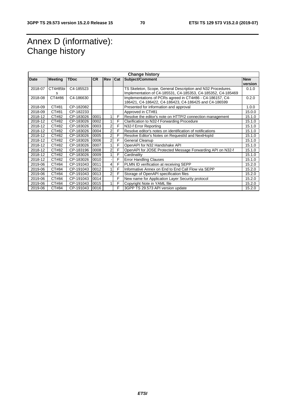# Annex D (informative): Change history

| <b>Change history</b> |                |             |           |                |   |                                                                                                                             |                       |
|-----------------------|----------------|-------------|-----------|----------------|---|-----------------------------------------------------------------------------------------------------------------------------|-----------------------|
| Date                  | <b>Meeting</b> | <b>TDoc</b> | <b>CR</b> | Rev Cat        |   | <b>Subject/Comment</b>                                                                                                      | <b>New</b><br>version |
| 2018-07               | CT4#85bi<br>s  | C4-185523   |           |                |   | TS Skeleton, Scope, General Description and N32 Procedures.<br>Implementation of C4-185531, C4-185353, C4-185352, C4-185469 | 0.1.0                 |
| 2018-08               | CT4#86         | C4-186630   |           |                |   | Implementations of PCRs agreed in CT4#86 - C4-186157, C4-<br>186421, C4-186422, C4-186423, C4-186425 and C4-186599          | 0.2.0                 |
| 2018-09               | CT#81          | CP-182082   |           |                |   | Presented for information and approval                                                                                      | 1.0.0                 |
| 2018-09               | CT#81          | CP-182233   |           |                |   | Approved in CT#81                                                                                                           | 15.0.0                |
| 2018-12               | CT#82          | CP-183026   | 0001      |                | F | Resolve the editor's note on HTTP/2 connection management                                                                   | 15.1.0                |
| 2018-12               | CT#82          | CP-183026   | 0002      |                | F | Clarification to N32-f Forwarding Procedure                                                                                 | 15.1.0                |
| 2018-12               | CT#82          | CP-183026   | 0003      | $\overline{2}$ | F | N32-f Error Reporting                                                                                                       | 15.1.0                |
| 2018-12               | CT#82          | CP-183026   | 0004      | 2 <sub>1</sub> | F | Resolve editor's notes on identification of notifications                                                                   | 15.1.0                |
| 2018-12               | CT#82          | CP-183026   | 0005      | $\overline{2}$ | F | Resolve Editor's Notes on RequestId and NextHopId                                                                           | 15.1.0                |
| 2018-12               | CT#82          | CP-183026   | 0006      | $\overline{2}$ | F | General Cleanup                                                                                                             | 15.1.0                |
| 2018-12               | CT#82          | CP-183026   | 0007      |                | F | OpenAPI for N32 Handshake API                                                                                               | 15.1.0                |
| 2018-12               | CT#82          | CP-183196   | 0008      | $\overline{2}$ | F | OpenAPI for JOSE Protected Message Forwarding API on N32-f                                                                  | 15.1.0                |
| 2018-12               | CT#82          | CP-183026   | 0009      |                | F | Cardinality                                                                                                                 | 15.1.0                |
| 2018-12               | CT#82          | CP-183026   | 0010      |                | F | <b>Error Handling Clauses</b>                                                                                               | 15.1.0                |
| 2019-06               | CT#84          | CP-191043   | 0011      | 4              | F | PLMN ID verification at receiving SEPP                                                                                      | 15.2.0                |
| 2019-06               | CT#84          | CP-191043   | 0012      |                | F | Informative Annex on End to End Call Flow via SEPP                                                                          | 15.2.0                |
| 2019-06               | CT#84          | CP-191043   | 0013      | 2              | F | Storage of OpenAPI specification files                                                                                      | 15.2.0                |
| 2019-06               | CT#84          | CP-191043   | 0014      |                | F | New name for Application Layer Security protocol                                                                            | 15.2.0                |
| 2019-06               | CT#84          | CP-191043   | 0015      |                | F | Copyright Note in YAML file                                                                                                 | 15.2.0                |
| 2019-06               | CT#84          | CP-191043   | 0016      |                | F | 3GPP TS 29.573 API version update                                                                                           | 15.2.0                |